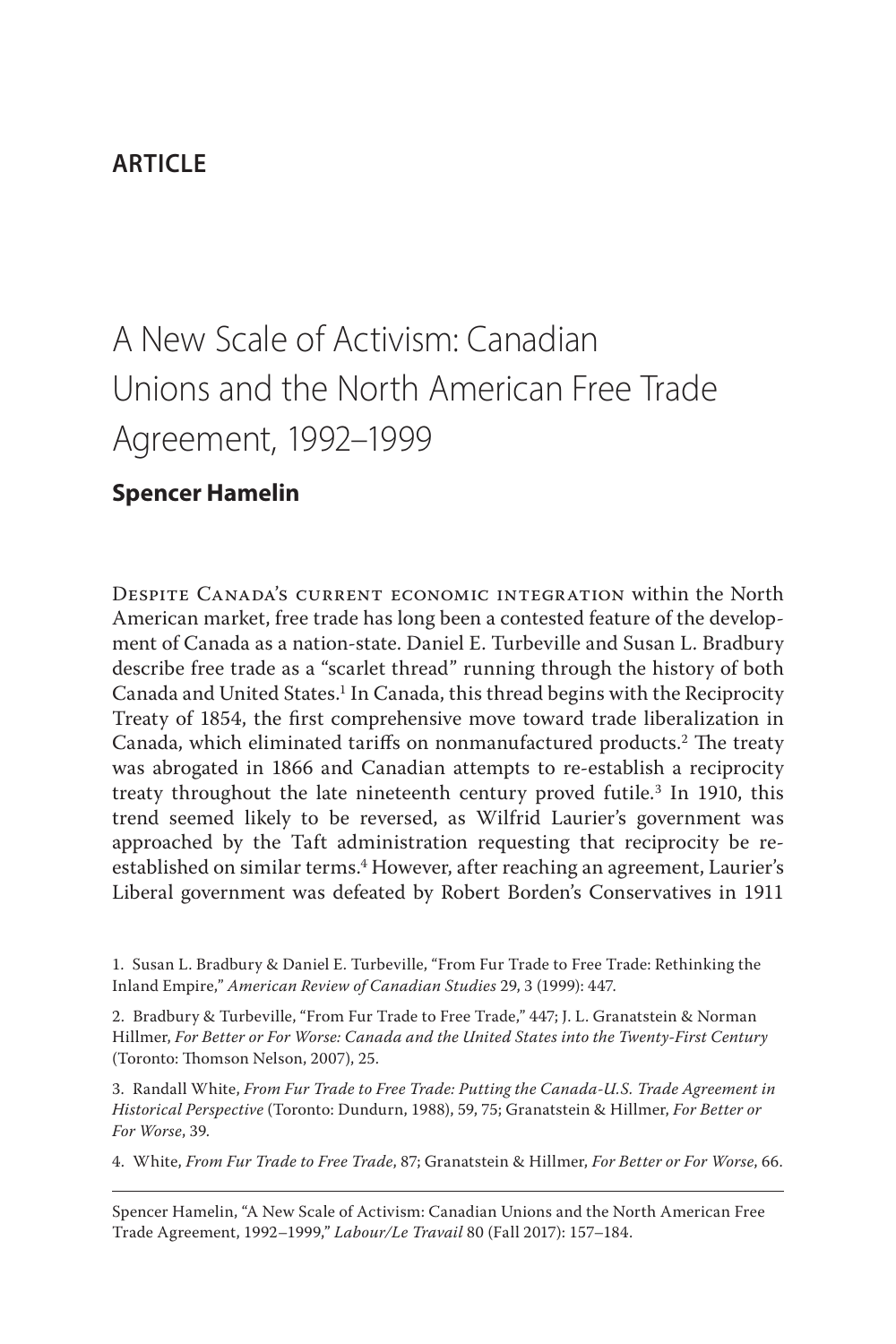# **article**

# A New Scale of Activism: Canadian Unions and the North American Free Trade Agreement, 1992–1999

# **Spencer Hamelin**

Despite Canada's current economic integration within the North American market, free trade has long been a contested feature of the development of Canada as a nation-state. Daniel E. Turbeville and Susan L. Bradbury describe free trade as a "scarlet thread" running through the history of both Canada and United States.<sup>1</sup> In Canada, this thread begins with the Reciprocity Treaty of 1854, the first comprehensive move toward trade liberalization in Canada, which eliminated tariffs on nonmanufactured products.2 The treaty was abrogated in 1866 and Canadian attempts to re-establish a reciprocity treaty throughout the late nineteenth century proved futile.<sup>3</sup> In 1910, this trend seemed likely to be reversed, as Wilfrid Laurier's government was approached by the Taft administration requesting that reciprocity be reestablished on similar terms.<sup>4</sup> However, after reaching an agreement, Laurier's Liberal government was defeated by Robert Borden's Conservatives in 1911

4. White, *From Fur Trade to Free Trade*, 87; Granatstein & Hillmer, *For Better or For Worse*, 66.

Spencer Hamelin, "A New Scale of Activism: Canadian Unions and the North American Free Trade Agreement, 1992–1999," *Labour/Le Travail* 80 (Fall 2017): 157–184.

<sup>1.</sup> Susan L. Bradbury & Daniel E. Turbeville, "From Fur Trade to Free Trade: Rethinking the Inland Empire," *American Review of Canadian Studies* 29, 3 (1999): 447.

<sup>2.</sup> Bradbury & Turbeville, "From Fur Trade to Free Trade," 447; J. L. Granatstein & Norman Hillmer, *For Better or For Worse: Canada and the United States into the Twenty-First Century*  (Toronto: Thomson Nelson, 2007), 25.

<sup>3.</sup> Randall White, *From Fur Trade to Free Trade: Putting the Canada-U.S. Trade Agreement in Historical Perspective* (Toronto: Dundurn, 1988), 59, 75; Granatstein & Hillmer, *For Better or For Worse*, 39.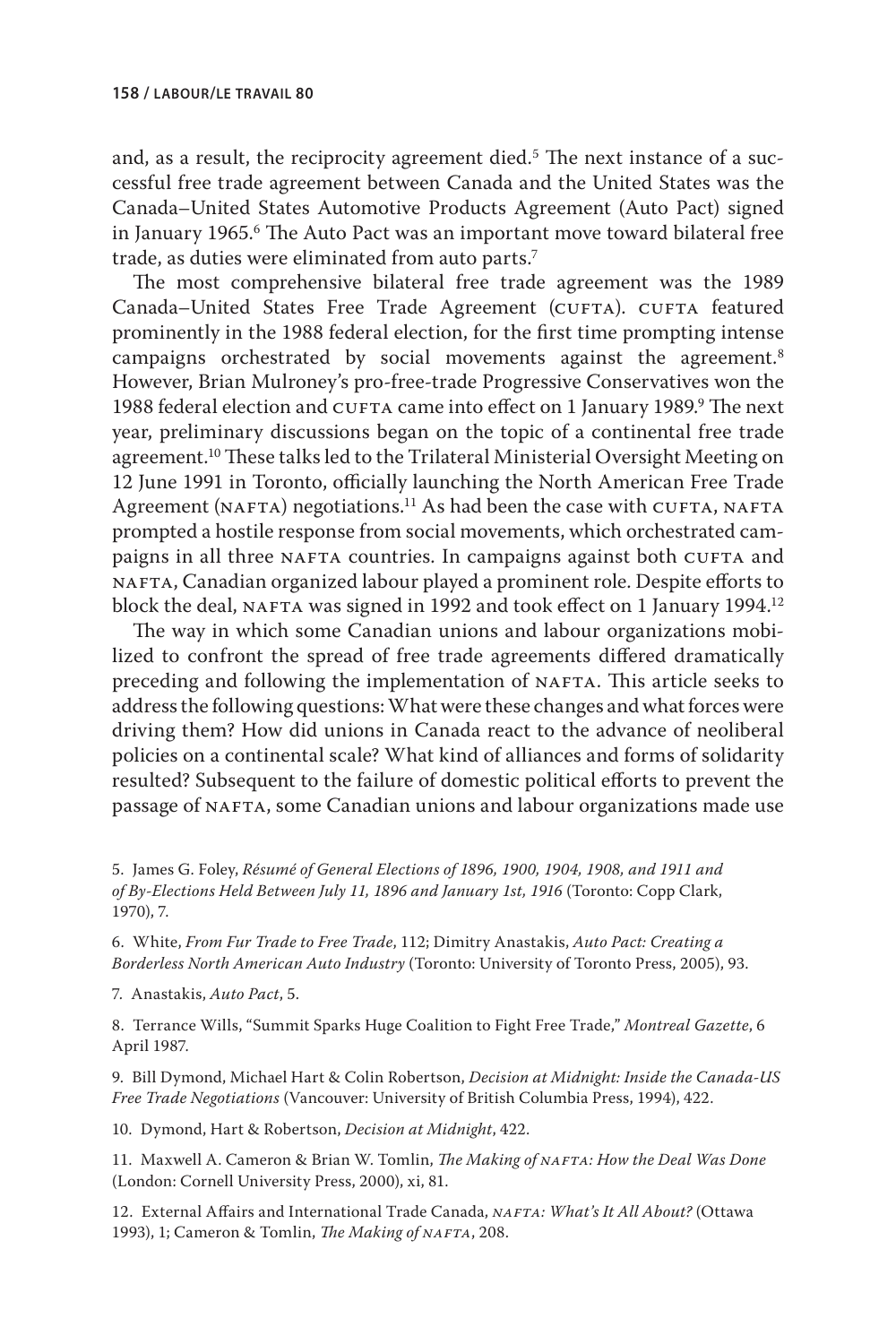and, as a result, the reciprocity agreement died.<sup>5</sup> The next instance of a successful free trade agreement between Canada and the United States was the Canada–United States Automotive Products Agreement (Auto Pact) signed in January 1965.6 The Auto Pact was an important move toward bilateral free trade, as duties were eliminated from auto parts.<sup>7</sup>

The most comprehensive bilateral free trade agreement was the 1989 Canada–United States Free Trade Agreement (CUFTA). CUFTA featured prominently in the 1988 federal election, for the first time prompting intense campaigns orchestrated by social movements against the agreement.<sup>8</sup> However, Brian Mulroney's pro-free-trade Progressive Conservatives won the 1988 federal election and CUFTA came into effect on 1 January 1989.<sup>9</sup> The next year, preliminary discussions began on the topic of a continental free trade agreement.10 These talks led to the Trilateral Ministerial Oversight Meeting on 12 June 1991 in Toronto, officially launching the North American Free Trade Agreement (NAFTA) negotiations.<sup>11</sup> As had been the case with CUFTA, NAFTA prompted a hostile response from social movements, which orchestrated campaigns in all three NAFTA countries. In campaigns against both CUFTA and NAFTA, Canadian organized labour played a prominent role. Despite efforts to block the deal, NAFTA was signed in 1992 and took effect on 1 January 1994.<sup>12</sup>

The way in which some Canadian unions and labour organizations mobilized to confront the spread of free trade agreements differed dramatically preceding and following the implementation of NAFTA. This article seeks to address the following questions: What were these changes and what forces were driving them? How did unions in Canada react to the advance of neoliberal policies on a continental scale? What kind of alliances and forms of solidarity resulted? Subsequent to the failure of domestic political efforts to prevent the passage of NAFTA, some Canadian unions and labour organizations made use

5. James G. Foley, *Résumé of General Elections of 1896, 1900, 1904, 1908, and 1911 and of By-Elections Held Between July 11, 1896 and January 1st, 1916* (Toronto: Copp Clark, 1970), 7.

6. White, *From Fur Trade to Free Trade*, 112; Dimitry Anastakis, *Auto Pact: Creating a Borderless North American Auto Industry* (Toronto: University of Toronto Press, 2005), 93.

7. Anastakis, *Auto Pact*, 5.

8. Terrance Wills, "Summit Sparks Huge Coalition to Fight Free Trade," *Montreal Gazette*, 6 April 1987.

9. Bill Dymond, Michael Hart & Colin Robertson, *Decision at Midnight: Inside the Canada-US Free Trade Negotiations* (Vancouver: University of British Columbia Press, 1994), 422.

10. Dymond, Hart & Robertson, *Decision at Midnight*, 422.

11. Maxwell A. Cameron & Brian W. Tomlin, *The Making of nafta: How the Deal Was Done* (London: Cornell University Press, 2000), xi, 81.

12. External Affairs and International Trade Canada, *NAFTA: What's It All About?* (Ottawa 1993), 1; Cameron & Tomlin, *The Making of NAFTA*, 208.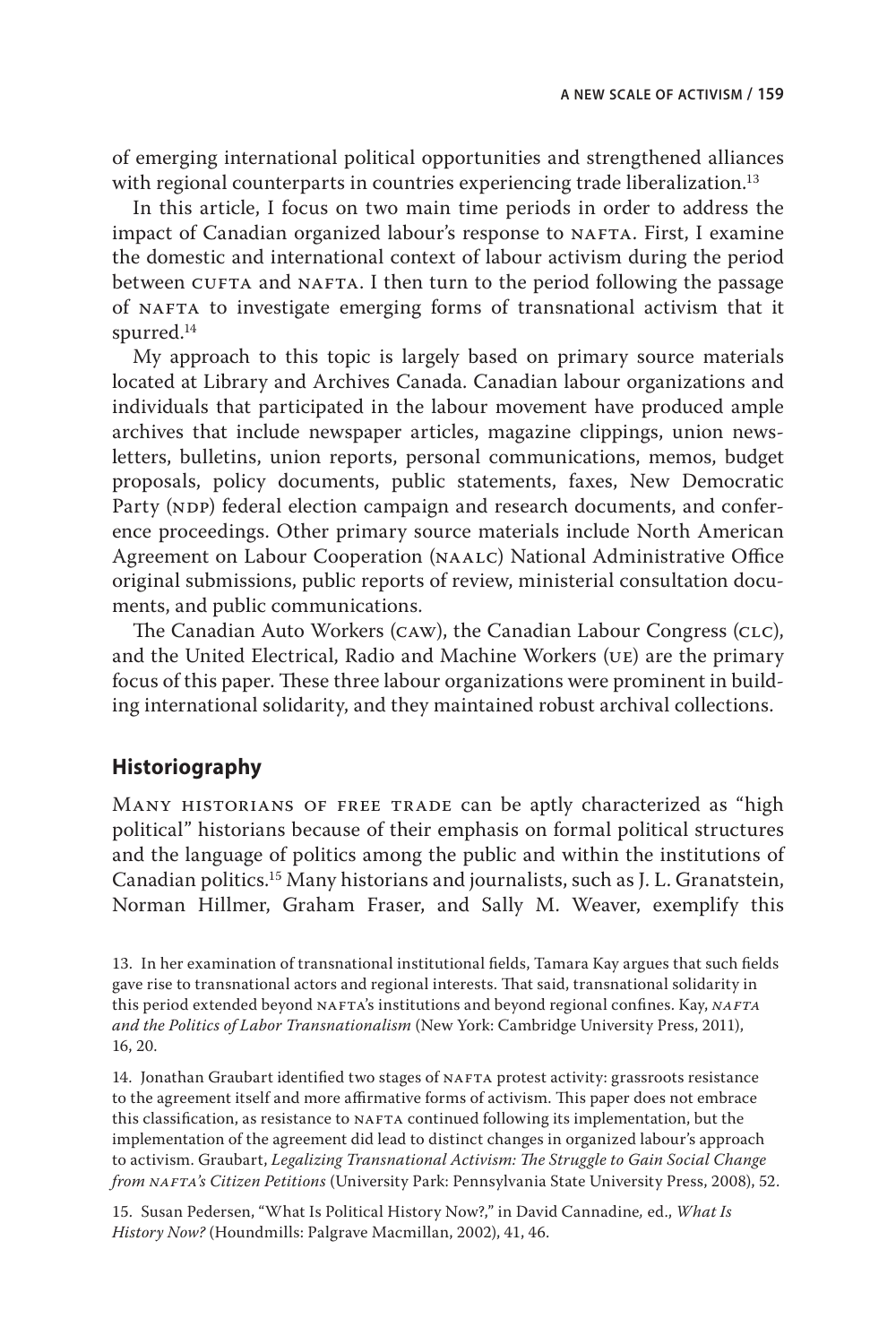of emerging international political opportunities and strengthened alliances with regional counterparts in countries experiencing trade liberalization.<sup>13</sup>

In this article, I focus on two main time periods in order to address the impact of Canadian organized labour's response to NAFTA. First, I examine the domestic and international context of labour activism during the period between CUFTA and NAFTA. I then turn to the period following the passage of nafta to investigate emerging forms of transnational activism that it spurred.14

My approach to this topic is largely based on primary source materials located at Library and Archives Canada. Canadian labour organizations and individuals that participated in the labour movement have produced ample archives that include newspaper articles, magazine clippings, union newsletters, bulletins, union reports, personal communications, memos, budget proposals, policy documents, public statements, faxes, New Democratic Party (NDP) federal election campaign and research documents, and conference proceedings. Other primary source materials include North American Agreement on Labour Cooperation (NAALC) National Administrative Office original submissions, public reports of review, ministerial consultation documents, and public communications.

The Canadian Auto Workers (CAW), the Canadian Labour Congress (CLC), and the United Electrical, Radio and Machine Workers (ue) are the primary focus of this paper. These three labour organizations were prominent in building international solidarity, and they maintained robust archival collections.

## **Historiography**

Many historians of free trade can be aptly characterized as "high political" historians because of their emphasis on formal political structures and the language of politics among the public and within the institutions of Canadian politics.15 Many historians and journalists, such as J. L. Granatstein, Norman Hillmer, Graham Fraser, and Sally M. Weaver, exemplify this

13. In her examination of transnational institutional fields, Tamara Kay argues that such fields gave rise to transnational actors and regional interests. That said, transnational solidarity in this period extended beyond NAFTA's institutions and beyond regional confines. Kay, *NAFTA and the Politics of Labor Transnationalism* (New York: Cambridge University Press, 2011), 16, 20.

14. Jonathan Graubart identified two stages of NAFTA protest activity: grassroots resistance to the agreement itself and more affirmative forms of activism. This paper does not embrace this classification, as resistance to NAFTA continued following its implementation, but the implementation of the agreement did lead to distinct changes in organized labour's approach to activism. Graubart, *Legalizing Transnational Activism: The Struggle to Gain Social Change from nafta's Citizen Petitions* (University Park: Pennsylvania State University Press, 2008), 52.

15. Susan Pedersen, "What Is Political History Now?," in David Cannadine*,* ed., *What Is History Now?* (Houndmills: Palgrave Macmillan, 2002), 41, 46.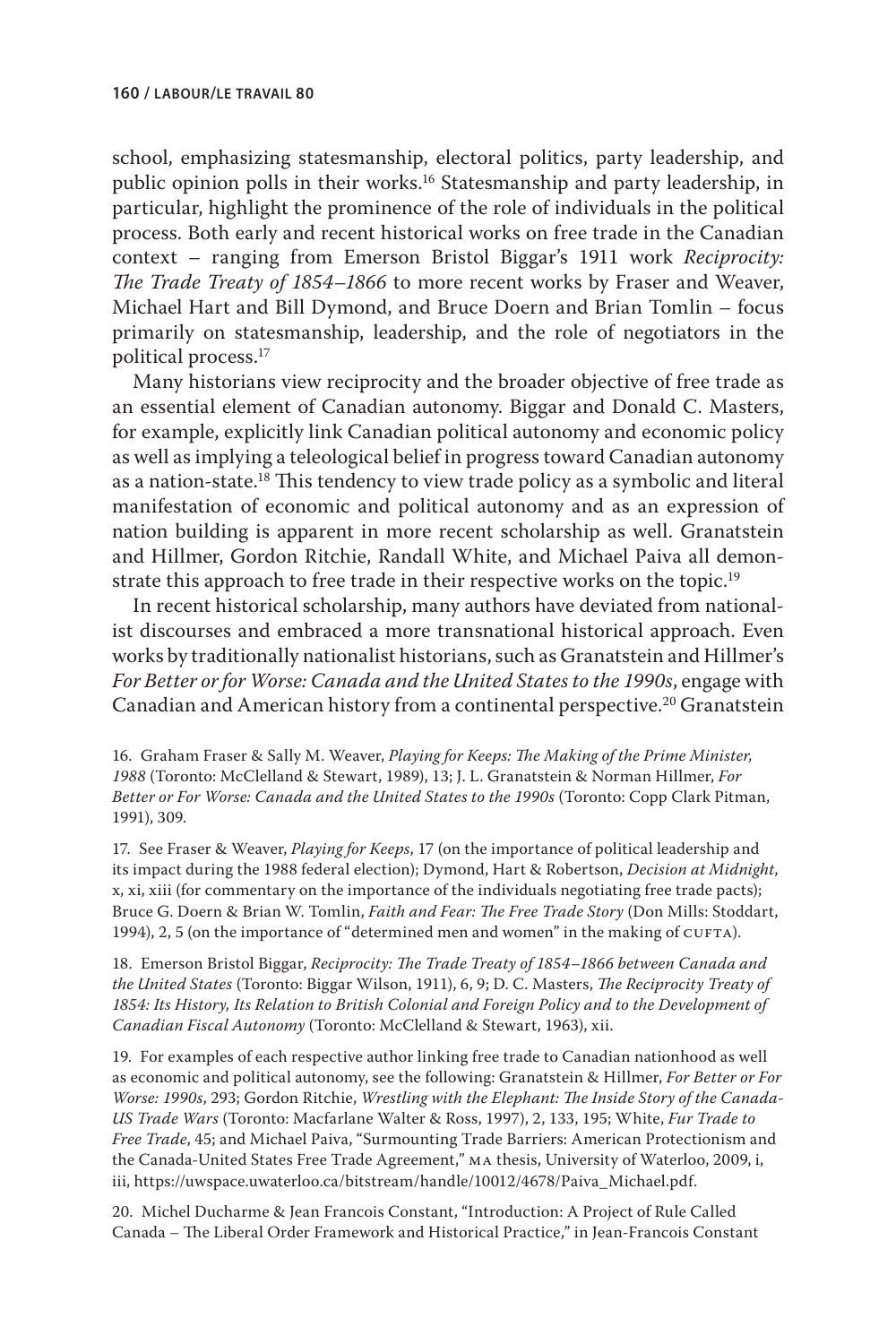school, emphasizing statesmanship, electoral politics, party leadership, and public opinion polls in their works.16 Statesmanship and party leadership, in particular, highlight the prominence of the role of individuals in the political process. Both early and recent historical works on free trade in the Canadian context – ranging from Emerson Bristol Biggar's 1911 work *Reciprocity: The Trade Treaty of 1854–1866* to more recent works by Fraser and Weaver, Michael Hart and Bill Dymond, and Bruce Doern and Brian Tomlin – focus primarily on statesmanship, leadership, and the role of negotiators in the political process.17

Many historians view reciprocity and the broader objective of free trade as an essential element of Canadian autonomy. Biggar and Donald C. Masters, for example, explicitly link Canadian political autonomy and economic policy as well as implying a teleological belief in progress toward Canadian autonomy as a nation-state.<sup>18</sup> This tendency to view trade policy as a symbolic and literal manifestation of economic and political autonomy and as an expression of nation building is apparent in more recent scholarship as well. Granatstein and Hillmer, Gordon Ritchie, Randall White, and Michael Paiva all demonstrate this approach to free trade in their respective works on the topic.<sup>19</sup>

In recent historical scholarship, many authors have deviated from nationalist discourses and embraced a more transnational historical approach. Even works by traditionally nationalist historians, such as Granatstein and Hillmer's *For Better or for Worse: Canada and the United States to the 1990s*, engage with Canadian and American history from a continental perspective.<sup>20</sup> Granatstein

16. Graham Fraser & Sally M. Weaver, *Playing for Keeps: The Making of the Prime Minister, 1988* (Toronto: McClelland & Stewart, 1989), 13; J. L. Granatstein & Norman Hillmer, *For Better or For Worse: Canada and the United States to the 1990s* (Toronto: Copp Clark Pitman, 1991), 309.

17. See Fraser & Weaver, *Playing for Keeps*, 17 (on the importance of political leadership and its impact during the 1988 federal election); Dymond, Hart & Robertson, *Decision at Midnight*, x, xi, xiii (for commentary on the importance of the individuals negotiating free trade pacts); Bruce G. Doern & Brian W. Tomlin, *Faith and Fear: The Free Trade Story* (Don Mills: Stoddart, 1994), 2, 5 (on the importance of "determined men and women" in the making of  $CUFTA)$ .

18. Emerson Bristol Biggar, *Reciprocity: The Trade Treaty of 1854–1866 between Canada and the United States* (Toronto: Biggar Wilson, 1911), 6, 9; D. C. Masters, *The Reciprocity Treaty of 1854: Its History, Its Relation to British Colonial and Foreign Policy and to the Development of Canadian Fiscal Autonomy* (Toronto: McClelland & Stewart, 1963), xii.

19. For examples of each respective author linking free trade to Canadian nationhood as well as economic and political autonomy, see the following: Granatstein & Hillmer, *For Better or For Worse: 1990s*, 293; Gordon Ritchie, *Wrestling with the Elephant: The Inside Story of the Canada-US Trade Wars* (Toronto: Macfarlane Walter & Ross, 1997), 2, 133, 195; White, *Fur Trade to Free Trade*, 45; and Michael Paiva, "Surmounting Trade Barriers: American Protectionism and the Canada-United States Free Trade Agreement," ma thesis, University of Waterloo, 2009, i, iii, [https://uwspace.uwaterloo.ca/bitstream/handle/10012/4678/Paiva\\_Michael.pdf.](https://uwspace.uwaterloo.ca/bitstream/handle/10012/4678/Paiva_Michael.pdf)

20. Michel Ducharme & Jean Francois Constant, "Introduction: A Project of Rule Called Canada – The Liberal Order Framework and Historical Practice," in Jean-Francois Constant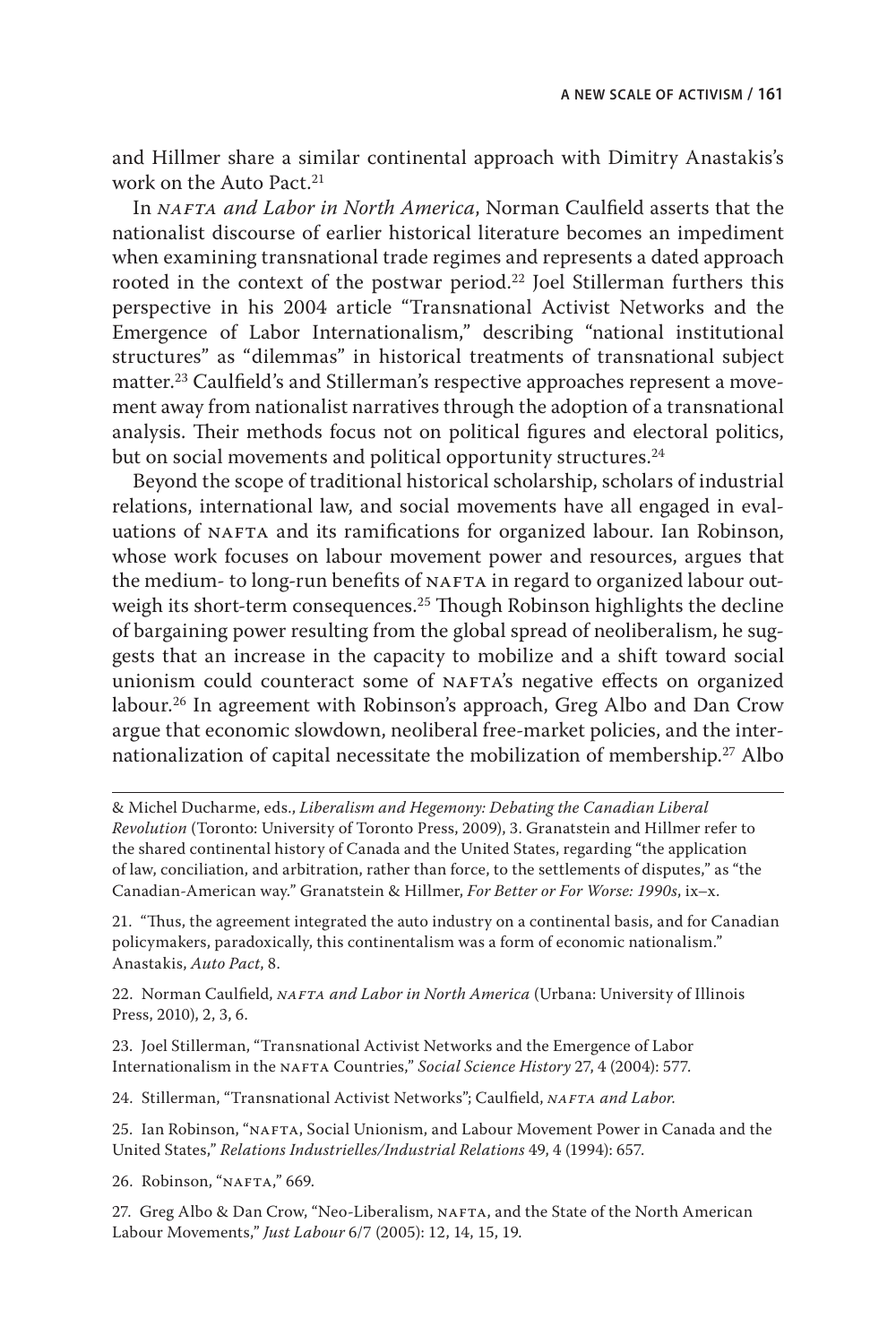and Hillmer share a similar continental approach with Dimitry Anastakis's work on the Auto Pact.<sup>21</sup>

In *nafta and Labor in North America*, Norman Caulfield asserts that the nationalist discourse of earlier historical literature becomes an impediment when examining transnational trade regimes and represents a dated approach rooted in the context of the postwar period.<sup>22</sup> Joel Stillerman furthers this perspective in his 2004 article "Transnational Activist Networks and the Emergence of Labor Internationalism," describing "national institutional structures" as "dilemmas" in historical treatments of transnational subject matter.23 Caulfield's and Stillerman's respective approaches represent a movement away from nationalist narratives through the adoption of a transnational analysis. Their methods focus not on political figures and electoral politics, but on social movements and political opportunity structures.<sup>24</sup>

Beyond the scope of traditional historical scholarship, scholars of industrial relations, international law, and social movements have all engaged in evaluations of NAFTA and its ramifications for organized labour. Ian Robinson, whose work focuses on labour movement power and resources, argues that the medium- to long-run benefits of NAFTA in regard to organized labour outweigh its short-term consequences.<sup>25</sup> Though Robinson highlights the decline of bargaining power resulting from the global spread of neoliberalism, he suggests that an increase in the capacity to mobilize and a shift toward social unionism could counteract some of NAFTA's negative effects on organized labour.26 In agreement with Robinson's approach, Greg Albo and Dan Crow argue that economic slowdown, neoliberal free-market policies, and the internationalization of capital necessitate the mobilization of membership.27 Albo

& Michel Ducharme, eds., *Liberalism and Hegemony: Debating the Canadian Liberal Revolution* (Toronto: University of Toronto Press, 2009), 3. Granatstein and Hillmer refer to the shared continental history of Canada and the United States, regarding "the application of law, conciliation, and arbitration, rather than force, to the settlements of disputes," as "the Canadian-American way." Granatstein & Hillmer, *For Better or For Worse: 1990s*, ix–x.

21. "Thus, the agreement integrated the auto industry on a continental basis, and for Canadian policymakers, paradoxically, this continentalism was a form of economic nationalism." Anastakis, *Auto Pact*, 8.

22. Norman Caulfield, *NAFTA and Labor in North America* (Urbana: University of Illinois Press, 2010), 2, 3, 6.

23. Joel Stillerman, "Transnational Activist Networks and the Emergence of Labor Internationalism in the NAFTA Countries," *Social Science History* 27, 4 (2004): 577.

24. Stillerman, "Transnational Activist Networks": Caulfield, *NAFTA and Labor.* 

25. Ian Robinson, "nafta, Social Unionism, and Labour Movement Power in Canada and the United States," *Relations Industrielles/Industrial Relations* 49, 4 (1994): 657.

26. Robinson, "NAFTA," 669.

27. Greg Albo & Dan Crow, "Neo-Liberalism, NAFTA, and the State of the North American Labour Movements," *Just Labour* 6/7 (2005): 12, 14, 15, 19.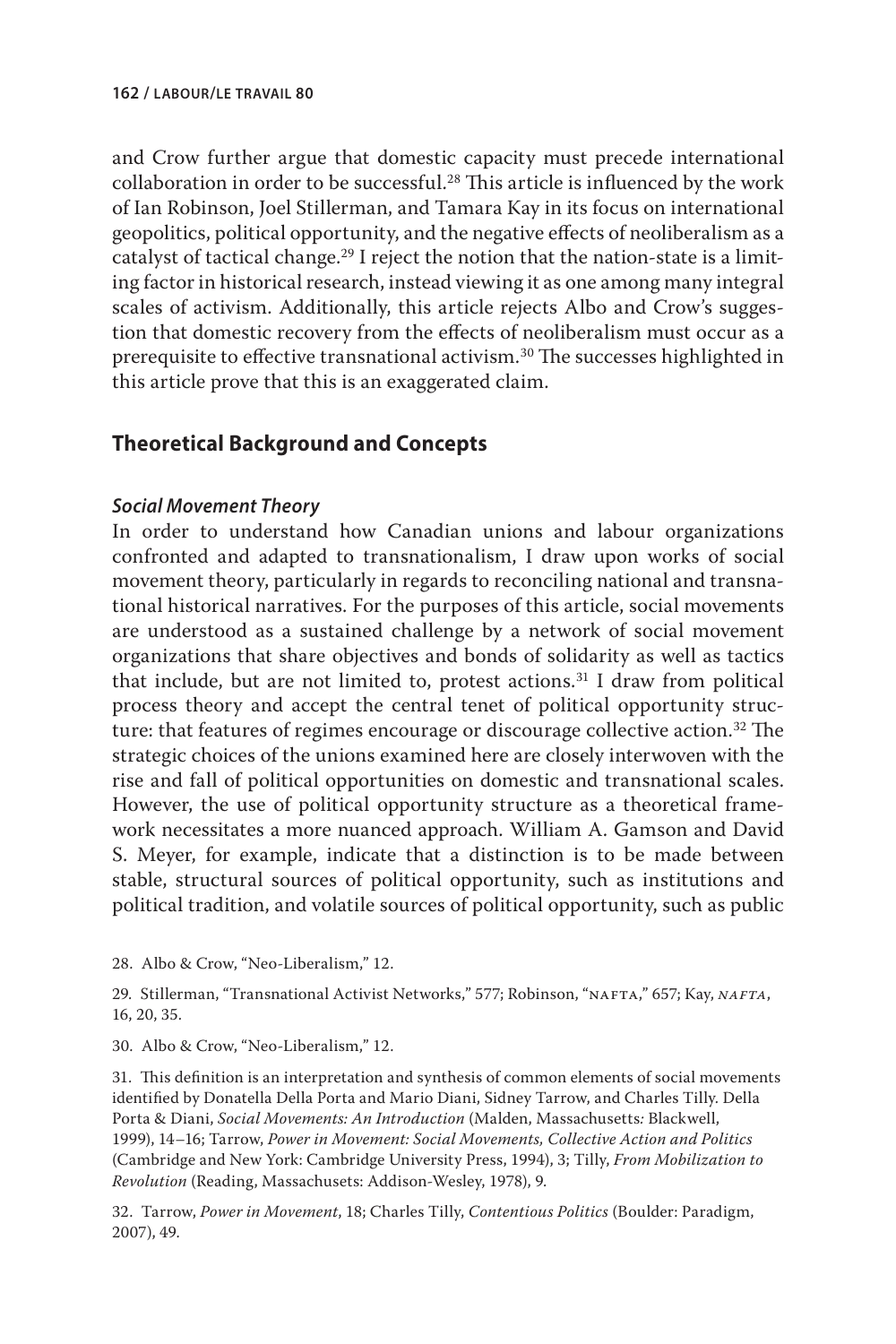and Crow further argue that domestic capacity must precede international collaboration in order to be successful.28 This article is influenced by the work of Ian Robinson, Joel Stillerman, and Tamara Kay in its focus on international geopolitics, political opportunity, and the negative effects of neoliberalism as a catalyst of tactical change.<sup>29</sup> I reject the notion that the nation-state is a limiting factor in historical research, instead viewing it as one among many integral scales of activism. Additionally, this article rejects Albo and Crow's suggestion that domestic recovery from the effects of neoliberalism must occur as a prerequisite to effective transnational activism.<sup>30</sup> The successes highlighted in this article prove that this is an exaggerated claim.

# **Theoretical Background and Concepts**

## *Social Movement Theory*

In order to understand how Canadian unions and labour organizations confronted and adapted to transnationalism, I draw upon works of social movement theory, particularly in regards to reconciling national and transnational historical narratives. For the purposes of this article, social movements are understood as a sustained challenge by a network of social movement organizations that share objectives and bonds of solidarity as well as tactics that include, but are not limited to, protest actions. $31$  I draw from political process theory and accept the central tenet of political opportunity structure: that features of regimes encourage or discourage collective action.<sup>32</sup> The strategic choices of the unions examined here are closely interwoven with the rise and fall of political opportunities on domestic and transnational scales. However, the use of political opportunity structure as a theoretical framework necessitates a more nuanced approach. William A. Gamson and David S. Meyer, for example, indicate that a distinction is to be made between stable, structural sources of political opportunity, such as institutions and political tradition, and volatile sources of political opportunity, such as public

28. Albo & Crow, "Neo-Liberalism," 12.

29. Stillerman, "Transnational Activist Networks," 577; Robinson, "nafta," 657; Kay, *nafta*, 16, 20, 35.

30. Albo & Crow, "Neo-Liberalism," 12.

31. This definition is an interpretation and synthesis of common elements of social movements identified by Donatella Della Porta and Mario Diani, Sidney Tarrow, and Charles Tilly. Della Porta & Diani, *Social Movements: An Introduction* (Malden, Massachusetts*:* Blackwell, 1999), 14–16; Tarrow, *Power in Movement: Social Movements, Collective Action and Politics* (Cambridge and New York: Cambridge University Press, 1994), 3; Tilly, *From Mobilization to Revolution* (Reading, Massachusets: Addison-Wesley, 1978), 9.

32. Tarrow, *Power in Movement*, 18; Charles Tilly, *Contentious Politics* (Boulder: Paradigm, 2007), 49.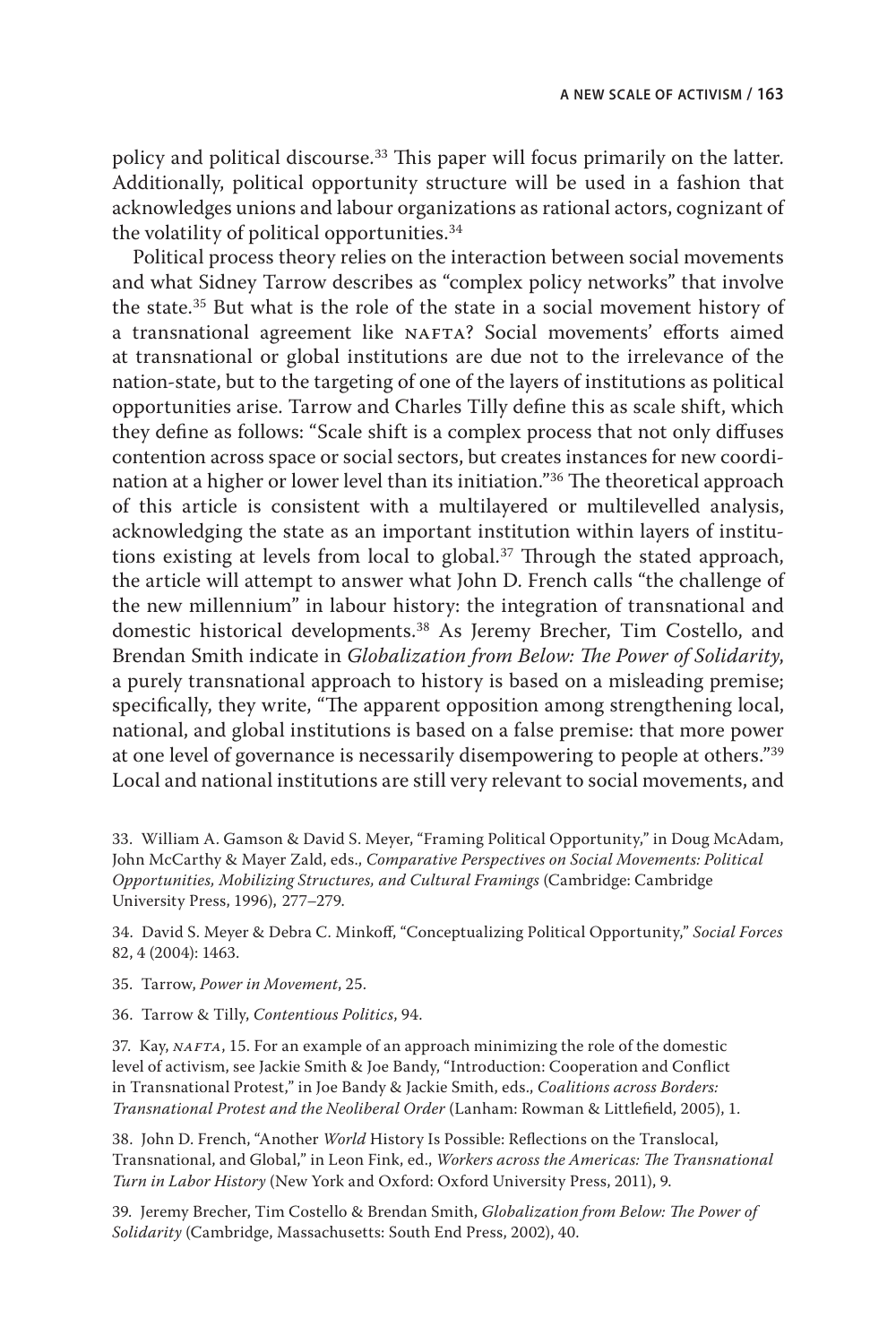policy and political discourse.<sup>33</sup> This paper will focus primarily on the latter. Additionally, political opportunity structure will be used in a fashion that acknowledges unions and labour organizations as rational actors, cognizant of the volatility of political opportunities.34

Political process theory relies on the interaction between social movements and what Sidney Tarrow describes as "complex policy networks" that involve the state.35 But what is the role of the state in a social movement history of a transnational agreement like NAFTA? Social movements' efforts aimed at transnational or global institutions are due not to the irrelevance of the nation-state, but to the targeting of one of the layers of institutions as political opportunities arise. Tarrow and Charles Tilly define this as scale shift, which they define as follows: "Scale shift is a complex process that not only diffuses contention across space or social sectors, but creates instances for new coordination at a higher or lower level than its initiation."36 The theoretical approach of this article is consistent with a multilayered or multilevelled analysis, acknowledging the state as an important institution within layers of institutions existing at levels from local to global.<sup>37</sup> Through the stated approach, the article will attempt to answer what John D. French calls "the challenge of the new millennium" in labour history: the integration of transnational and domestic historical developments.38 As Jeremy Brecher, Tim Costello, and Brendan Smith indicate in *Globalization from Below: The Power of Solidarity*, a purely transnational approach to history is based on a misleading premise; specifically, they write, "The apparent opposition among strengthening local, national, and global institutions is based on a false premise: that more power at one level of governance is necessarily disempowering to people at others."39 Local and national institutions are still very relevant to social movements, and

33. William A. Gamson & David S. Meyer, "Framing Political Opportunity," in Doug McAdam, John McCarthy & Mayer Zald, eds., *Comparative Perspectives on Social Movements: Political Opportunities, Mobilizing Structures, and Cultural Framings* (Cambridge: Cambridge University Press, 1996), 277–279.

34. David S. Meyer & Debra C. Minkoff, "Conceptualizing Political Opportunity," *Social Forces*  82, 4 (2004): 1463.

35. Tarrow, *Power in Movement*, 25.

36. Tarrow & Tilly, *Contentious Politics*, 94.

37. Kay, *NAFTA*, 15. For an example of an approach minimizing the role of the domestic level of activism, see Jackie Smith & Joe Bandy, "Introduction: Cooperation and Conflict in Transnational Protest," in Joe Bandy & Jackie Smith, eds., *Coalitions across Borders: Transnational Protest and the Neoliberal Order* (Lanham: Rowman & Littlefield, 2005), 1.

38. John D. French, "Another *World* History Is Possible: Reflections on the Translocal, Transnational, and Global," in Leon Fink, ed., *Workers across the Americas: The Transnational Turn in Labor History* (New York and Oxford: Oxford University Press, 2011), 9.

39. Jeremy Brecher, Tim Costello & Brendan Smith, *Globalization from Below: The Power of Solidarity* (Cambridge, Massachusetts: South End Press, 2002), 40.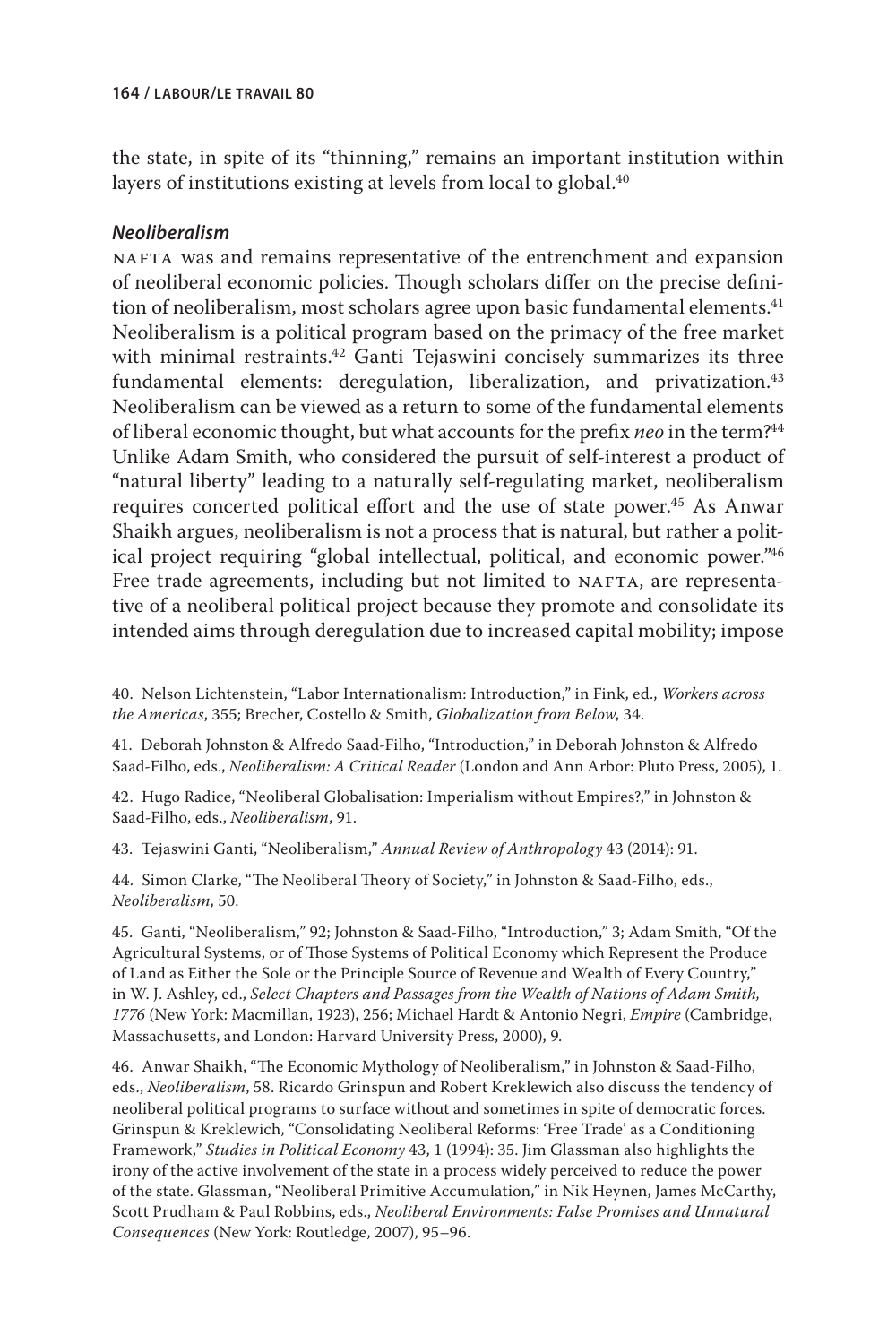the state, in spite of its "thinning," remains an important institution within layers of institutions existing at levels from local to global.<sup>40</sup>

## *Neoliberalism*

NAFTA was and remains representative of the entrenchment and expansion of neoliberal economic policies. Though scholars differ on the precise definition of neoliberalism, most scholars agree upon basic fundamental elements.<sup>41</sup> Neoliberalism is a political program based on the primacy of the free market with minimal restraints.42 Ganti Tejaswini concisely summarizes its three fundamental elements: deregulation, liberalization, and privatization.<sup>43</sup> Neoliberalism can be viewed as a return to some of the fundamental elements of liberal economic thought, but what accounts for the prefix *neo* in the term?44 Unlike Adam Smith, who considered the pursuit of self-interest a product of "natural liberty" leading to a naturally self-regulating market, neoliberalism requires concerted political effort and the use of state power.<sup>45</sup> As Anwar Shaikh argues, neoliberalism is not a process that is natural, but rather a political project requiring "global intellectual, political, and economic power."46 Free trade agreements, including but not limited to NAFTA, are representative of a neoliberal political project because they promote and consolidate its intended aims through deregulation due to increased capital mobility; impose

40. Nelson Lichtenstein, "Labor Internationalism: Introduction," in Fink, ed., *Workers across the Americas*, 355; Brecher, Costello & Smith, *Globalization from Below*, 34.

41. Deborah Johnston & Alfredo Saad-Filho, "Introduction," in Deborah Johnston & Alfredo Saad-Filho, eds., *Neoliberalism: A Critical Reader* (London and Ann Arbor: Pluto Press, 2005), 1.

42. Hugo Radice, "Neoliberal Globalisation: Imperialism without Empires?," in Johnston & Saad-Filho, eds., *Neoliberalism*, 91.

43. Tejaswini Ganti, "Neoliberalism," *Annual Review of Anthropology* 43 (2014): 91.

44. Simon Clarke, "The Neoliberal Theory of Society," in Johnston & Saad-Filho, eds., *Neoliberalism*, 50.

45. Ganti, "Neoliberalism," 92; Johnston & Saad-Filho, "Introduction," 3; Adam Smith, "Of the Agricultural Systems, or of Those Systems of Political Economy which Represent the Produce of Land as Either the Sole or the Principle Source of Revenue and Wealth of Every Country," in W. J. Ashley, ed., *Select Chapters and Passages from the Wealth of Nations of Adam Smith, 1776* (New York: Macmillan, 1923), 256; Michael Hardt & Antonio Negri, *Empire* (Cambridge, Massachusetts, and London: Harvard University Press, 2000), 9.

46. Anwar Shaikh, "The Economic Mythology of Neoliberalism," in Johnston & Saad-Filho, eds., *Neoliberalism*, 58. Ricardo Grinspun and Robert Kreklewich also discuss the tendency of neoliberal political programs to surface without and sometimes in spite of democratic forces. Grinspun & Kreklewich, "Consolidating Neoliberal Reforms: 'Free Trade' as a Conditioning Framework," *Studies in Political Economy* 43, 1 (1994): 35. Jim Glassman also highlights the irony of the active involvement of the state in a process widely perceived to reduce the power of the state. Glassman, "Neoliberal Primitive Accumulation," in Nik Heynen, James McCarthy, Scott Prudham & Paul Robbins, eds., *Neoliberal Environments: False Promises and Unnatural Consequences* (New York: Routledge, 2007), 95–96.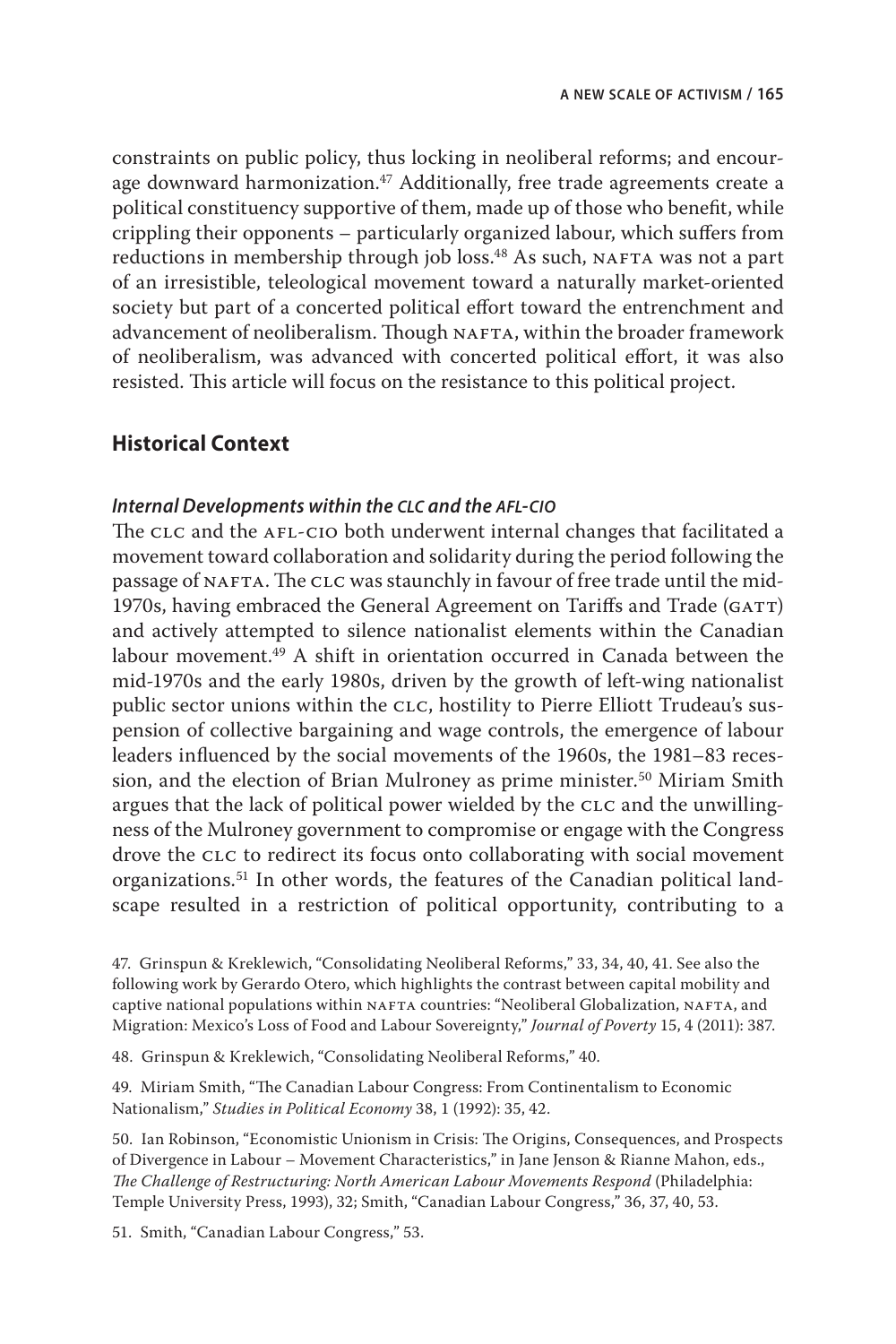constraints on public policy, thus locking in neoliberal reforms; and encourage downward harmonization.<sup>47</sup> Additionally, free trade agreements create a political constituency supportive of them, made up of those who benefit, while crippling their opponents – particularly organized labour, which suffers from reductions in membership through job loss.<sup>48</sup> As such, NAFTA was not a part of an irresistible, teleological movement toward a naturally market-oriented society but part of a concerted political effort toward the entrenchment and advancement of neoliberalism. Though NAFTA, within the broader framework of neoliberalism, was advanced with concerted political effort, it was also resisted. This article will focus on the resistance to this political project.

# **Historical Context**

#### *Internal Developments within the clc and the afl-cio*

The CLC and the AFL-CIO both underwent internal changes that facilitated a movement toward collaboration and solidarity during the period following the passage of NAFTA. The CLC was staunchly in favour of free trade until the mid-1970s, having embraced the General Agreement on Tariffs and Trade (GATT) and actively attempted to silence nationalist elements within the Canadian labour movement.49 A shift in orientation occurred in Canada between the mid-1970s and the early 1980s, driven by the growth of left-wing nationalist public sector unions within the CLC, hostility to Pierre Elliott Trudeau's suspension of collective bargaining and wage controls, the emergence of labour leaders influenced by the social movements of the 1960s, the 1981–83 recession, and the election of Brian Mulroney as prime minister.<sup>50</sup> Miriam Smith argues that the lack of political power wielded by the CLC and the unwillingness of the Mulroney government to compromise or engage with the Congress drove the CLC to redirect its focus onto collaborating with social movement organizations.51 In other words, the features of the Canadian political landscape resulted in a restriction of political opportunity, contributing to a

47. Grinspun & Kreklewich, "Consolidating Neoliberal Reforms," 33, 34, 40, 41. See also the following work by Gerardo Otero, which highlights the contrast between capital mobility and captive national populations within NAFTA countries: "Neoliberal Globalization, NAFTA, and Migration: Mexico's Loss of Food and Labour Sovereignty," *Journal of Poverty* 15, 4 (2011): 387.

48. Grinspun & Kreklewich, "Consolidating Neoliberal Reforms," 40.

49. Miriam Smith, "The Canadian Labour Congress: From Continentalism to Economic Nationalism," *Studies in Political Economy* 38, 1 (1992): 35, 42.

50. Ian Robinson, "Economistic Unionism in Crisis: The Origins, Consequences, and Prospects of Divergence in Labour – Movement Characteristics," in Jane Jenson & Rianne Mahon, eds., *The Challenge of Restructuring: North American Labour Movements Respond* (Philadelphia: Temple University Press, 1993), 32; Smith, "Canadian Labour Congress," 36, 37, 40, 53.

51. Smith, "Canadian Labour Congress," 53.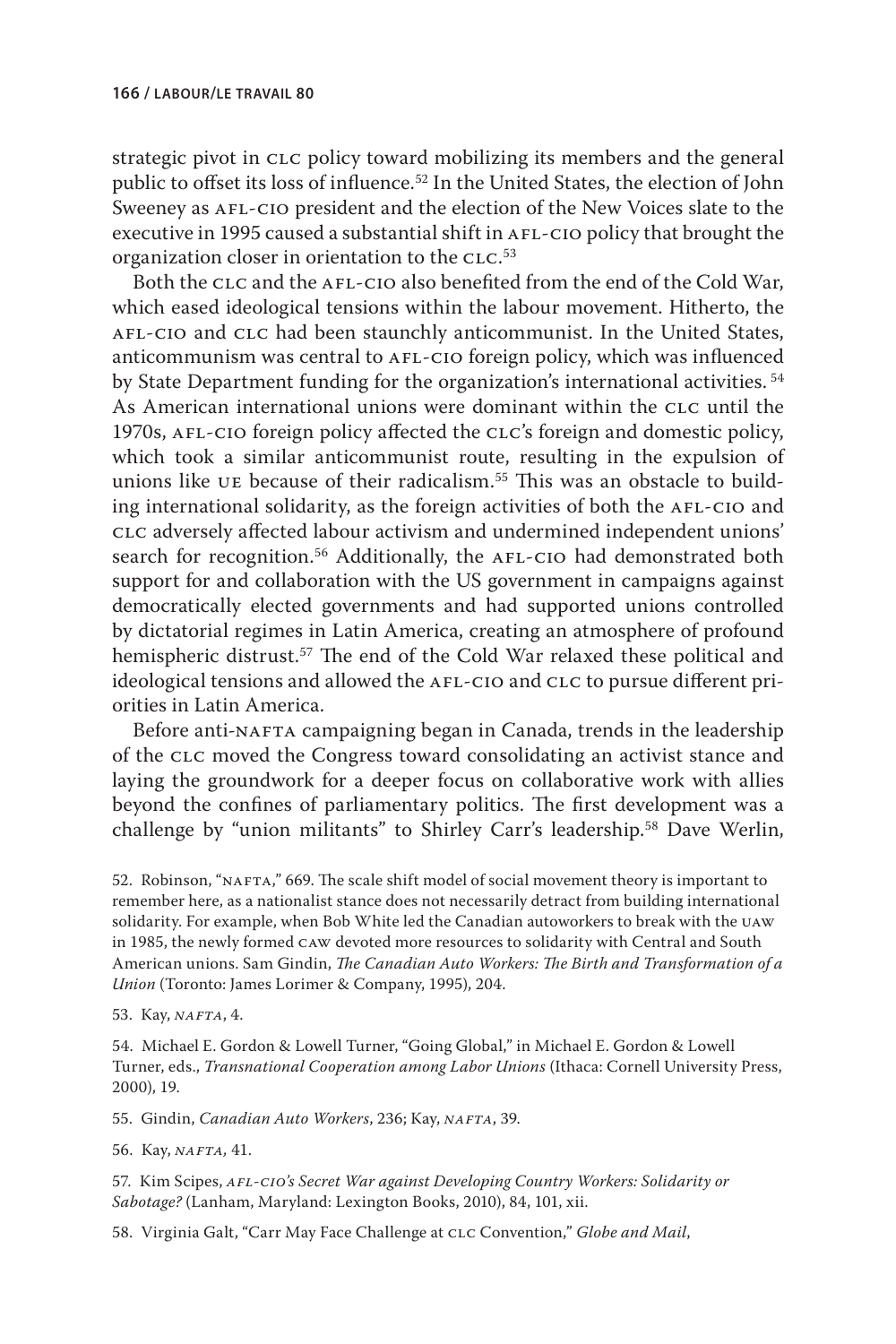strategic pivot in CLC policy toward mobilizing its members and the general public to offset its loss of influence.52 In the United States, the election of John Sweeney as AFL-CIO president and the election of the New Voices slate to the executive in 1995 caused a substantial shift in AFL-CIO policy that brought the organization closer in orientation to the  ${\rm c}$ LC. $^{\rm 53}$ 

Both the CLC and the AFL-CIO also benefited from the end of the Cold War, which eased ideological tensions within the labour movement. Hitherto, the AFL-CIO and CLC had been staunchly anticommunist. In the United States, anticommunism was central to AFL-CIO foreign policy, which was influenced by State Department funding for the organization's international activities. <sup>54</sup> As American international unions were dominant within the clc until the 1970s, afl-cio foreign policy affected the clc's foreign and domestic policy, which took a similar anticommunist route, resulting in the expulsion of unions like UE because of their radicalism.<sup>55</sup> This was an obstacle to building international solidarity, as the foreign activities of both the AFL-CIO and clc adversely affected labour activism and undermined independent unions' search for recognition.<sup>56</sup> Additionally, the AFL-CIO had demonstrated both support for and collaboration with the US government in campaigns against democratically elected governments and had supported unions controlled by dictatorial regimes in Latin America, creating an atmosphere of profound hemispheric distrust.57 The end of the Cold War relaxed these political and ideological tensions and allowed the AFL-CIO and CLC to pursue different priorities in Latin America.

Before anti-NAFTA campaigning began in Canada, trends in the leadership of the clc moved the Congress toward consolidating an activist stance and laying the groundwork for a deeper focus on collaborative work with allies beyond the confines of parliamentary politics. The first development was a challenge by "union militants" to Shirley Carr's leadership.<sup>58</sup> Dave Werlin,

52. Robinson, "NAFTA," 669. The scale shift model of social movement theory is important to remember here, as a nationalist stance does not necessarily detract from building international solidarity. For example, when Bob White led the Canadian autoworkers to break with the uaw in 1985, the newly formed caw devoted more resources to solidarity with Central and South American unions. Sam Gindin, *The Canadian Auto Workers: The Birth and Transformation of a Union* (Toronto: James Lorimer & Company, 1995), 204.

53. Kay, *nafta*, 4.

54. Michael E. Gordon & Lowell Turner, "Going Global," in Michael E. Gordon & Lowell Turner, eds., *Transnational Cooperation among Labor Unions* (Ithaca: Cornell University Press, 2000), 19.

55. Gindin, *Canadian Auto Workers*, 236; Kay, *nafta*, 39.

56. Kay, *nafta,* 41.

57. Kim Scipes, *afl-cio's Secret War against Developing Country Workers: Solidarity or Sabotage?* (Lanham, Maryland: Lexington Books, 2010), 84, 101, xii.

58. Virginia Galt, "Carr May Face Challenge at clc Convention," *Globe and Mail*,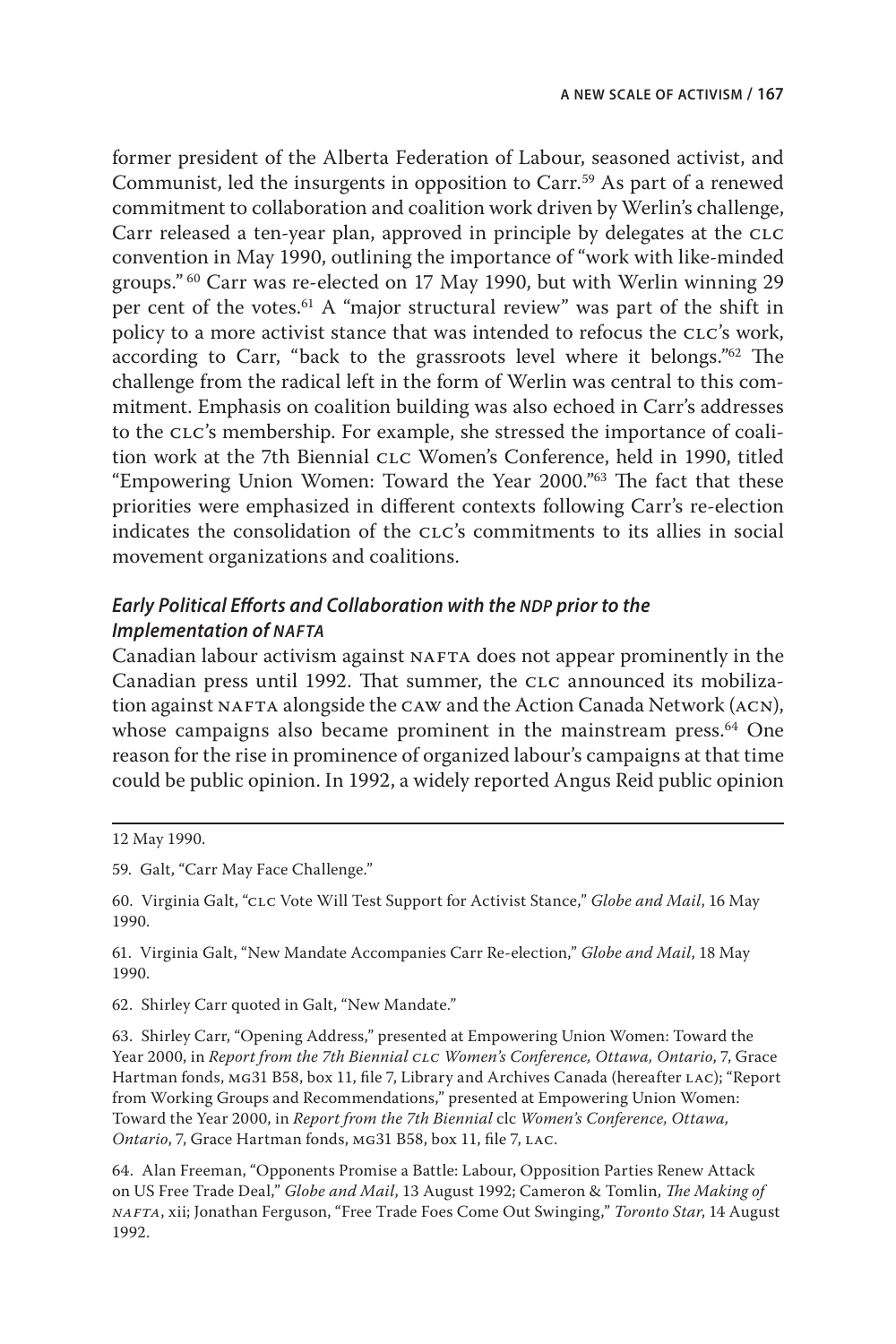former president of the Alberta Federation of Labour, seasoned activist, and Communist, led the insurgents in opposition to Carr.<sup>59</sup> As part of a renewed commitment to collaboration and coalition work driven by Werlin's challenge, Carr released a ten-year plan, approved in principle by delegates at the CLC convention in May 1990, outlining the importance of "work with like-minded groups." 60 Carr was re-elected on 17 May 1990, but with Werlin winning 29 per cent of the votes.61 A "major structural review" was part of the shift in policy to a more activist stance that was intended to refocus the clc's work, according to Carr, "back to the grassroots level where it belongs."62 The challenge from the radical left in the form of Werlin was central to this commitment. Emphasis on coalition building was also echoed in Carr's addresses to the clc's membership. For example, she stressed the importance of coalition work at the 7th Biennial clc Women's Conference, held in 1990, titled "Empowering Union Women: Toward the Year 2000."63 The fact that these priorities were emphasized in different contexts following Carr's re-election indicates the consolidation of the CLC's commitments to its allies in social movement organizations and coalitions.

## *Early Political Efforts and Collaboration with the NDP prior to the Implementation of nafta*

Canadian labour activism against NAFTA does not appear prominently in the Canadian press until 1992. That summer, the CLC announced its mobilization against NAFTA alongside the CAW and the Action Canada Network (ACN), whose campaigns also became prominent in the mainstream press.<sup>64</sup> One reason for the rise in prominence of organized labour's campaigns at that time could be public opinion. In 1992, a widely reported Angus Reid public opinion

61. Virginia Galt, "New Mandate Accompanies Carr Re-election," *Globe and Mail*, 18 May 1990.

62. Shirley Carr quoted in Galt, "New Mandate."

63. Shirley Carr, "Opening Address," presented at Empowering Union Women: Toward the Year 2000, in *Report from the 7th Biennial CLC Women's Conference, Ottawa, Ontario*, 7, Grace Hartman fonds, MG31 B58, box 11, file 7, Library and Archives Canada (hereafter LAC); "Report from Working Groups and Recommendations," presented at Empowering Union Women: Toward the Year 2000, in *Report from the 7th Biennial* clc *Women's Conference, Ottawa, Ontario*, 7, Grace Hartman fonds, mg31 B58, box 11, file 7, lac.

64. Alan Freeman, "Opponents Promise a Battle: Labour, Opposition Parties Renew Attack on US Free Trade Deal," *Globe and Mail*, 13 August 1992; Cameron & Tomlin, *The Making of nafta*, xii; Jonathan Ferguson, "Free Trade Foes Come Out Swinging," *Toronto Star*, 14 August 1992.

<sup>12</sup> May 1990.

<sup>59.</sup> Galt, "Carr May Face Challenge."

<sup>60.</sup> Virginia Galt, "clc Vote Will Test Support for Activist Stance," *Globe and Mail*, 16 May 1990.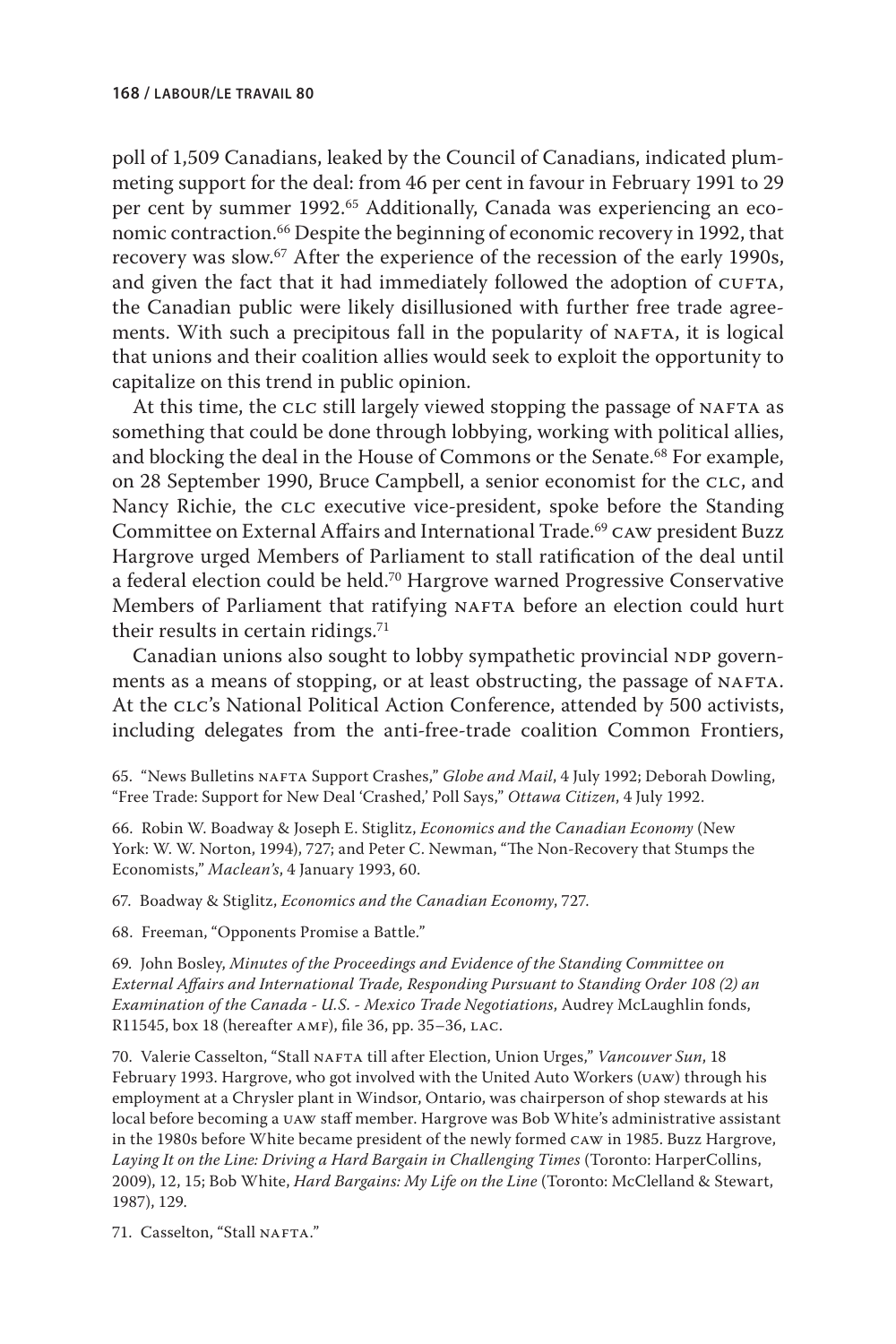poll of 1,509 Canadians, leaked by the Council of Canadians, indicated plummeting support for the deal: from 46 per cent in favour in February 1991 to 29 per cent by summer 1992.<sup>65</sup> Additionally, Canada was experiencing an economic contraction.66 Despite the beginning of economic recovery in 1992, that recovery was slow.<sup>67</sup> After the experience of the recession of the early 1990s, and given the fact that it had immediately followed the adoption of CUFTA, the Canadian public were likely disillusioned with further free trade agreements. With such a precipitous fall in the popularity of NAFTA, it is logical that unions and their coalition allies would seek to exploit the opportunity to capitalize on this trend in public opinion.

At this time, the CLC still largely viewed stopping the passage of NAFTA as something that could be done through lobbying, working with political allies, and blocking the deal in the House of Commons or the Senate.<sup>68</sup> For example, on 28 September 1990, Bruce Campbell, a senior economist for the CLC, and Nancy Richie, the CLC executive vice-president, spoke before the Standing Committee on External Affairs and International Trade.69 caw president Buzz Hargrove urged Members of Parliament to stall ratification of the deal until a federal election could be held.70 Hargrove warned Progressive Conservative Members of Parliament that ratifying NAFTA before an election could hurt their results in certain ridings. $71$ 

Canadian unions also sought to lobby sympathetic provincial NDP governments as a means of stopping, or at least obstructing, the passage of NAFTA. At the CLC's National Political Action Conference, attended by 500 activists, including delegates from the anti-free-trade coalition Common Frontiers,

65. "News Bulletins NAFTA Support Crashes," *Globe and Mail*, 4 July 1992; Deborah Dowling, "Free Trade: Support for New Deal 'Crashed,' Poll Says," *Ottawa Citizen*, 4 July 1992.

66. Robin W. Boadway & Joseph E. Stiglitz, *Economics and the Canadian Economy* (New York: W. W. Norton, 1994), 727; and Peter C. Newman, "The Non-Recovery that Stumps the Economists," *Maclean's*, 4 January 1993, 60.

67. Boadway & Stiglitz, *Economics and the Canadian Economy*, 727.

68. Freeman, "Opponents Promise a Battle."

69. John Bosley, *Minutes of the Proceedings and Evidence of the Standing Committee on External Affairs and International Trade, Responding Pursuant to Standing Order 108 (2) an Examination of the Canada - U.S. - Mexico Trade Negotiations*, Audrey McLaughlin fonds, R11545, box 18 (hereafter AMF), file 36, pp. 35-36, LAC.

70. Valerie Casselton, "Stall NAFTA till after Election, Union Urges," Vancouver Sun, 18 February 1993. Hargrove, who got involved with the United Auto Workers (UAW) through his employment at a Chrysler plant in Windsor, Ontario, was chairperson of shop stewards at his local before becoming a uaw staff member. Hargrove was Bob White's administrative assistant in the 1980s before White became president of the newly formed caw in 1985. Buzz Hargrove, Laying It on the Line: Driving a Hard Bargain in Challenging Times (Toronto: HarperCollins, 2009), 12, 15; Bob White, *Hard Bargains: My Life on the Line* (Toronto: McClelland & Stewart, 1987), 129.

71. Casselton, "Stall NAFTA."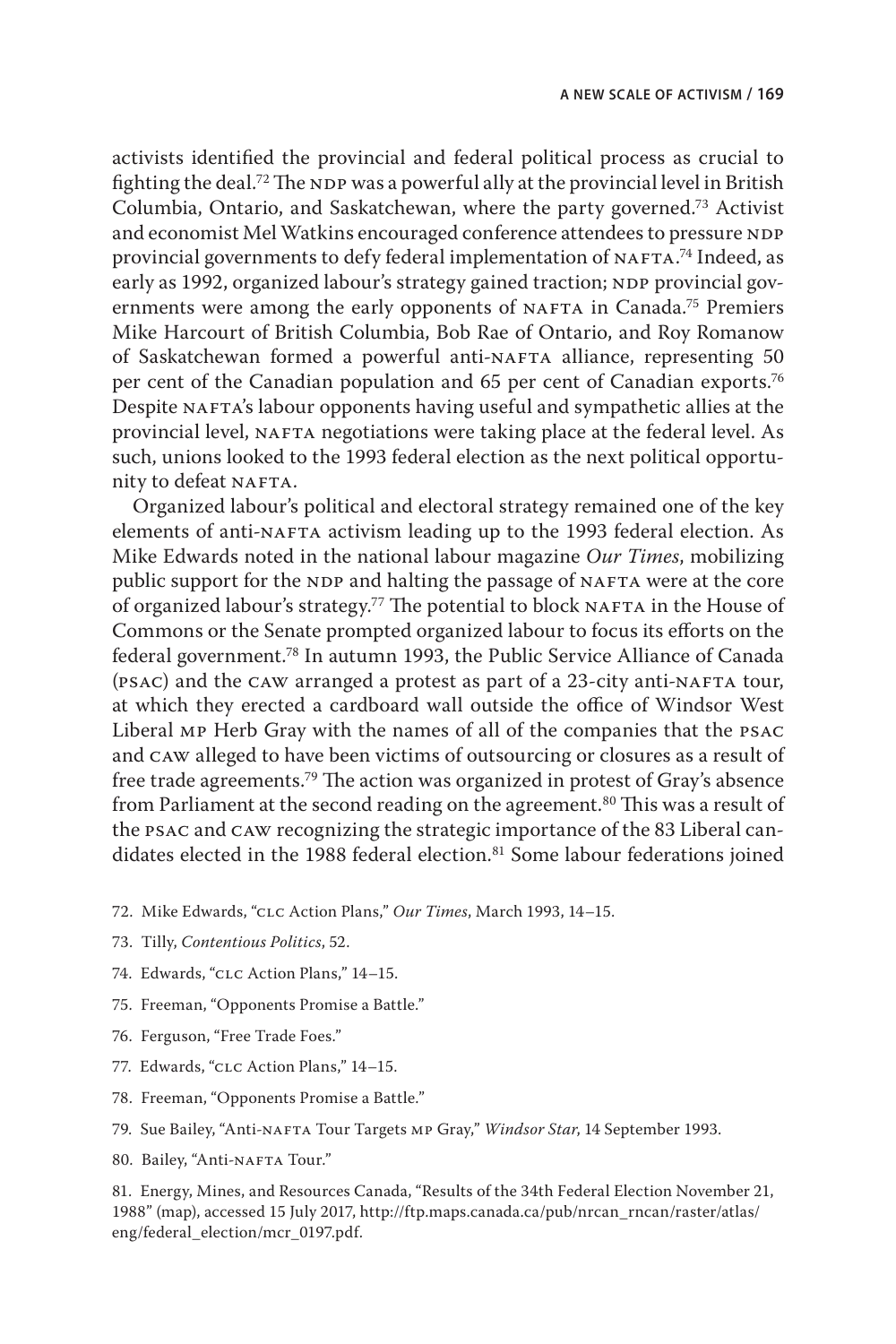activists identified the provincial and federal political process as crucial to fighting the deal.<sup>72</sup> The NDP was a powerful ally at the provincial level in British Columbia, Ontario, and Saskatchewan, where the party governed.73 Activist and economist Mel Watkins encouraged conference attendees to pressure NDP provincial governments to defy federal implementation of NAFTA.<sup>74</sup> Indeed, as early as 1992, organized labour's strategy gained traction; NDP provincial governments were among the early opponents of NAFTA in Canada.<sup>75</sup> Premiers Mike Harcourt of British Columbia, Bob Rae of Ontario, and Roy Romanow of Saskatchewan formed a powerful anti-NAFTA alliance, representing 50 per cent of the Canadian population and 65 per cent of Canadian exports.<sup>76</sup> Despite NAFTA's labour opponents having useful and sympathetic allies at the provincial level, NAFTA negotiations were taking place at the federal level. As such, unions looked to the 1993 federal election as the next political opportunity to defeat NAFTA.

Organized labour's political and electoral strategy remained one of the key elements of anti-NAFTA activism leading up to the 1993 federal election. As Mike Edwards noted in the national labour magazine *Our Times*, mobilizing public support for the NDP and halting the passage of NAFTA were at the core of organized labour's strategy.<sup>77</sup> The potential to block  $NAFTA$  in the House of Commons or the Senate prompted organized labour to focus its efforts on the federal government.78 In autumn 1993, the Public Service Alliance of Canada (PSAC) and the CAW arranged a protest as part of a 23-city anti-NAFTA tour, at which they erected a cardboard wall outside the office of Windsor West Liberal mp Herb Gray with the names of all of the companies that the psac and caw alleged to have been victims of outsourcing or closures as a result of free trade agreements.79 The action was organized in protest of Gray's absence from Parliament at the second reading on the agreement.<sup>80</sup> This was a result of the psac and caw recognizing the strategic importance of the 83 Liberal candidates elected in the 1988 federal election.<sup>81</sup> Some labour federations joined

- 72. Mike Edwards, "clc Action Plans," *Our Times*, March 1993, 14–15.
- 73. Tilly, *Contentious Politics*, 52.
- 74. Edwards, "clc Action Plans," 14–15.
- 75. Freeman, "Opponents Promise a Battle."
- 76. Ferguson, "Free Trade Foes."
- 77. Edwards, "clc Action Plans," 14–15.
- 78. Freeman, "Opponents Promise a Battle."
- 79. Sue Bailey, "Anti-NAFTA Tour Targets MP Gray," *Windsor Star*, 14 September 1993.
- 80. Bailey, "Anti-NAFTA Tour."

81. Energy, Mines, and Resources Canada, "Results of the 34th Federal Election November 21, 1988" (map), accessed 15 July 2017, [http://ftp.maps.canada.ca/pub/nrcan\\_rncan/raster/atlas/](http://ftp.maps.canada.ca/pub/nrcan_rncan/raster/atlas/eng/federal_election/mcr_0197.pdf) [eng/federal\\_election/mcr\\_0197.pdf.](http://ftp.maps.canada.ca/pub/nrcan_rncan/raster/atlas/eng/federal_election/mcr_0197.pdf)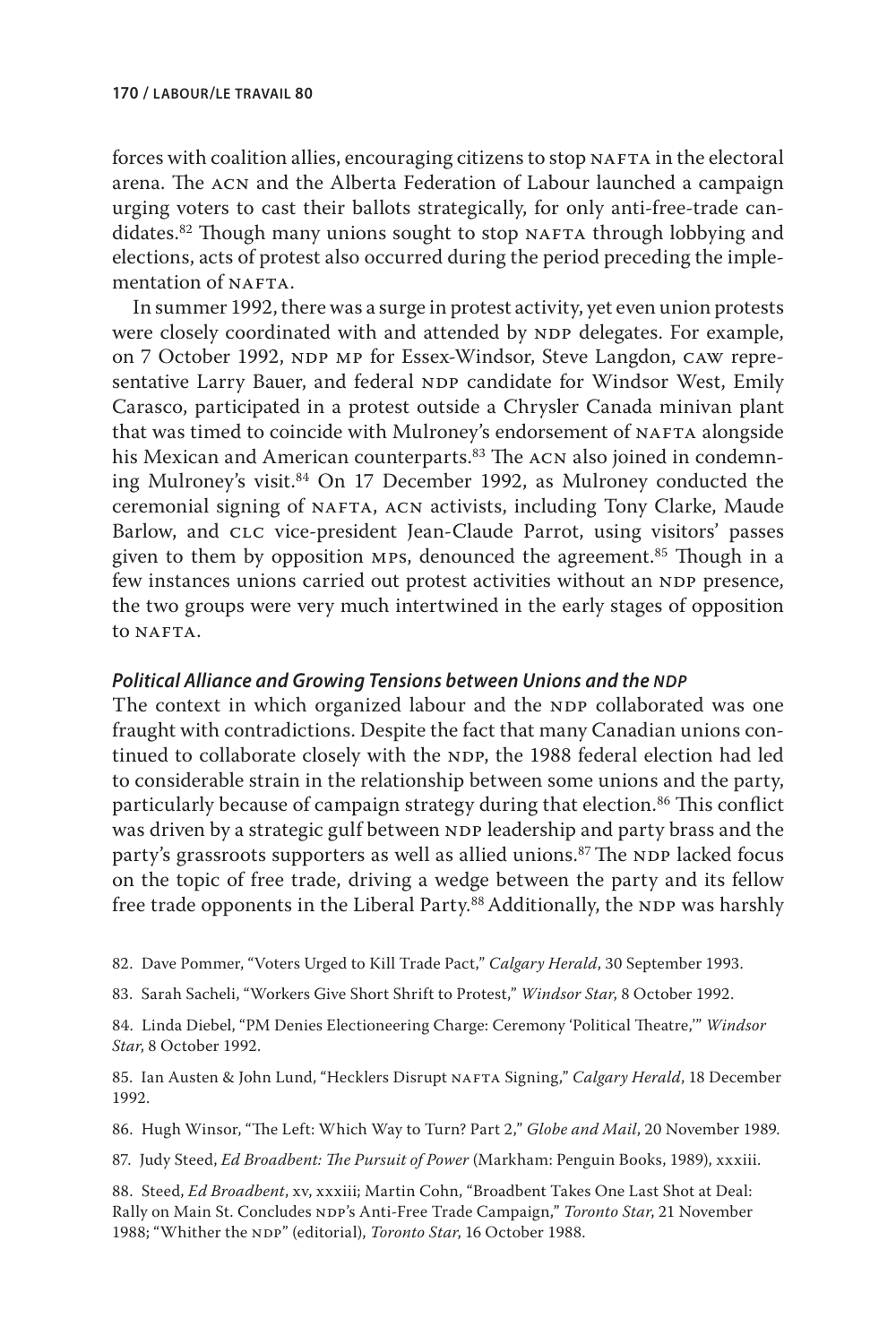forces with coalition allies, encouraging citizens to stop NAFTA in the electoral arena. The acn and the Alberta Federation of Labour launched a campaign urging voters to cast their ballots strategically, for only anti-free-trade candidates.<sup>82</sup> Though many unions sought to stop NAFTA through lobbying and elections, acts of protest also occurred during the period preceding the implementation of NAFTA.

In summer 1992, there was a surge in protest activity, yet even union protests were closely coordinated with and attended by NDP delegates. For example, on 7 October 1992, NDP MP for Essex-Windsor, Steve Langdon, CAW representative Larry Bauer, and federal NDP candidate for Windsor West, Emily Carasco, participated in a protest outside a Chrysler Canada minivan plant that was timed to coincide with Mulroney's endorsement of NAFTA alongside his Mexican and American counterparts.<sup>83</sup> The ACN also joined in condemning Mulroney's visit.<sup>84</sup> On 17 December 1992, as Mulroney conducted the ceremonial signing of NAFTA, ACN activists, including Tony Clarke, Maude Barlow, and CLC vice-president Jean-Claude Parrot, using visitors' passes given to them by opposition MPs, denounced the agreement.<sup>85</sup> Though in a few instances unions carried out protest activities without an NDP presence, the two groups were very much intertwined in the early stages of opposition to NAFTA.

#### **Political Alliance and Growing Tensions between Unions and the NDP**

The context in which organized labour and the NDP collaborated was one fraught with contradictions. Despite the fact that many Canadian unions continued to collaborate closely with the NDP, the 1988 federal election had led to considerable strain in the relationship between some unions and the party, particularly because of campaign strategy during that election.<sup>86</sup> This conflict was driven by a strategic gulf between NDP leadership and party brass and the party's grassroots supporters as well as allied unions.<sup>87</sup> The NDP lacked focus on the topic of free trade, driving a wedge between the party and its fellow free trade opponents in the Liberal Party.<sup>88</sup> Additionally, the NDP was harshly

82. Dave Pommer, "Voters Urged to Kill Trade Pact," *Calgary Herald*, 30 September 1993.

83. Sarah Sacheli, "Workers Give Short Shrift to Protest," *Windsor Star*, 8 October 1992.

84. Linda Diebel, "PM Denies Electioneering Charge: Ceremony 'Political Theatre,'" *Windsor Star*, 8 October 1992.

85. Ian Austen & John Lund, "Hecklers Disrupt NAFTA Signing," Calgary Herald, 18 December 1992.

86. Hugh Winsor, "The Left: Which Way to Turn? Part 2," *Globe and Mail*, 20 November 1989.

87. Judy Steed, *Ed Broadbent: The Pursuit of Power* (Markham: Penguin Books, 1989), xxxiii.

88. Steed, *Ed Broadbent*, xv, xxxiii; Martin Cohn, "Broadbent Takes One Last Shot at Deal: Rally on Main St. Concludes NDP's Anti-Free Trade Campaign," *Toronto Star*, 21 November 1988; "Whither the NDP" (editorial), *Toronto Star*, 16 October 1988.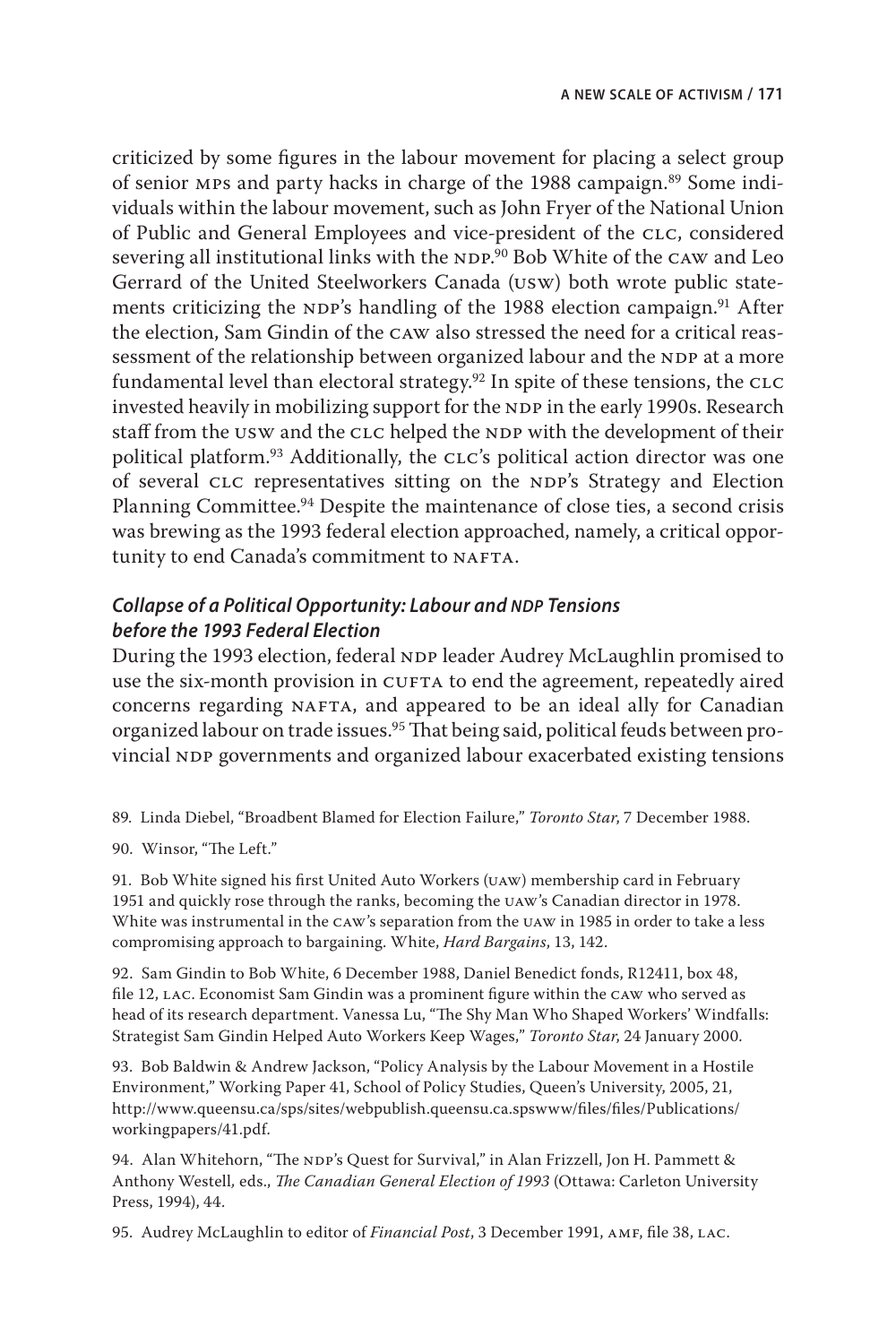criticized by some figures in the labour movement for placing a select group of senior mps and party hacks in charge of the 1988 campaign.89 Some individuals within the labour movement, such as John Fryer of the National Union of Public and General Employees and vice-president of the clc, considered severing all institutional links with the <code>NDP.</code><sup>90</sup> Bob White of the <code>caw</code> and Leo Gerrard of the United Steelworkers Canada (usw) both wrote public statements criticizing the NDP's handling of the 1988 election campaign.<sup>91</sup> After the election, Sam Gindin of the caw also stressed the need for a critical reassessment of the relationship between organized labour and the NDP at a more fundamental level than electoral strategy.<sup>92</sup> In spite of these tensions, the CLC invested heavily in mobilizing support for the NDP in the early 1990s. Research staff from the USW and the CLC helped the NDP with the development of their political platform.<sup>93</sup> Additionally, the CLC's political action director was one of several CLC representatives sitting on the NDP's Strategy and Election Planning Committee.<sup>94</sup> Despite the maintenance of close ties, a second crisis was brewing as the 1993 federal election approached, namely, a critical opportunity to end Canada's commitment to NAFTA.

# **Collapse of a Political Opportunity: Labour and** *NDP* **Tensions** *before the 1993 Federal Election*

During the 1993 election, federal NDP leader Audrey McLaughlin promised to use the six-month provision in CUFTA to end the agreement, repeatedly aired concerns regarding NAFTA, and appeared to be an ideal ally for Canadian organized labour on trade issues.95 That being said, political feuds between provincial NDP governments and organized labour exacerbated existing tensions

89. Linda Diebel, "Broadbent Blamed for Election Failure," *Toronto Star*, 7 December 1988.

90. Winsor, "The Left."

91. Bob White signed his first United Auto Workers (uaw) membership card in February 1951 and quickly rose through the ranks, becoming the uaw's Canadian director in 1978. White was instrumental in the caw's separation from the uaw in 1985 in order to take a less compromising approach to bargaining. White, *Hard Bargains*, 13, 142.

92. Sam Gindin to Bob White, 6 December 1988, Daniel Benedict fonds, R12411, box 48, file 12, lac. Economist Sam Gindin was a prominent figure within the caw who served as head of its research department. Vanessa Lu, "The Shy Man Who Shaped Workers' Windfalls: Strategist Sam Gindin Helped Auto Workers Keep Wages," *Toronto Star*, 24 January 2000.

93. Bob Baldwin & Andrew Jackson, "Policy Analysis by the Labour Movement in a Hostile Environment," Working Paper 41, School of Policy Studies, Queen's University, 2005, 21, [http://www.queensu.ca/sps/sites/webpublish.queensu.ca.spswww/files/files/Publications/](http://www.queensu.ca/sps/sites/webpublish.queensu.ca.spswww/files/files/Publications/workingpapers/41.pdf) [workingpapers/41.pdf.](http://www.queensu.ca/sps/sites/webpublish.queensu.ca.spswww/files/files/Publications/workingpapers/41.pdf)

94. Alan Whitehorn, "The NDP's Quest for Survival," in Alan Frizzell, Jon H. Pammett & Anthony Westell*,* eds., *The Canadian General Election of 1993* (Ottawa: Carleton University Press, 1994), 44.

95. Audrey McLaughlin to editor of *Financial Post*, 3 December 1991, AMF, file 38, LAC.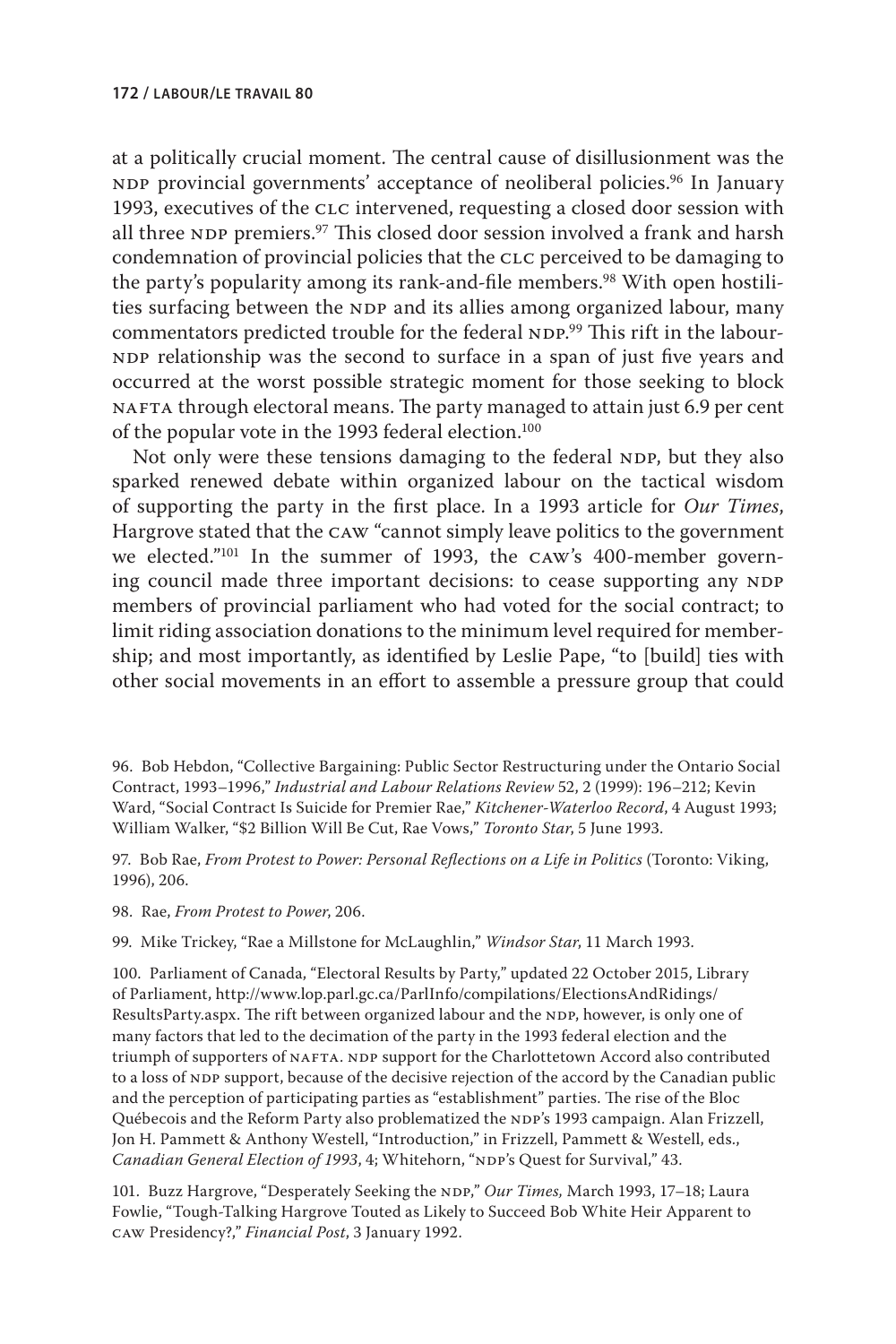at a politically crucial moment. The central cause of disillusionment was the NDP provincial governments' acceptance of neoliberal policies.<sup>96</sup> In January 1993, executives of the clc intervened, requesting a closed door session with all three NDP premiers.<sup>97</sup> This closed door session involved a frank and harsh condemnation of provincial policies that the CLC perceived to be damaging to the party's popularity among its rank-and-file members.<sup>98</sup> With open hostilities surfacing between the NDP and its allies among organized labour, many commentators predicted trouble for the federal NDP.<sup>99</sup> This rift in the labour-NDP relationship was the second to surface in a span of just five years and occurred at the worst possible strategic moment for those seeking to block NAFTA through electoral means. The party managed to attain just 6.9 per cent of the popular vote in the 1993 federal election.<sup>100</sup>

Not only were these tensions damaging to the federal NDP, but they also sparked renewed debate within organized labour on the tactical wisdom of supporting the party in the first place. In a 1993 article for *Our Times*, Hargrove stated that the caw "cannot simply leave politics to the government we elected."101 In the summer of 1993, the caw's 400-member governing council made three important decisions: to cease supporting any NDP members of provincial parliament who had voted for the social contract; to limit riding association donations to the minimum level required for membership; and most importantly, as identified by Leslie Pape, "to [build] ties with other social movements in an effort to assemble a pressure group that could

96. Bob Hebdon, "Collective Bargaining: Public Sector Restructuring under the Ontario Social Contract, 1993–1996," *Industrial and Labour Relations Review* 52, 2 (1999): 196–212; Kevin Ward, "Social Contract Is Suicide for Premier Rae," *Kitchener-Waterloo Record*, 4 August 1993; William Walker, "\$2 Billion Will Be Cut, Rae Vows," *Toronto Star*, 5 June 1993.

97. Bob Rae, *From Protest to Power: Personal Reflections on a Life in Politics* (Toronto: Viking, 1996), 206.

98. Rae, *From Protest to Power*, 206.

99. Mike Trickey, "Rae a Millstone for McLaughlin," *Windsor Star*, 11 March 1993.

100. Parliament of Canada, "Electoral Results by Party," updated 22 October 2015, Library of Parliament, [http://www.lop.parl.gc.ca/ParlInfo/compilations/ElectionsAndRidings/](http://www.lop.parl.gc.ca/ParlInfo/compilations/ElectionsAndRidings/ResultsParty.aspx) [ResultsParty.aspx.](http://www.lop.parl.gc.ca/ParlInfo/compilations/ElectionsAndRidings/ResultsParty.aspx) The rift between organized labour and the NDP, however, is only one of many factors that led to the decimation of the party in the 1993 federal election and the triumph of supporters of NAFTA. NDP support for the Charlottetown Accord also contributed to a loss of NDP support, because of the decisive rejection of the accord by the Canadian public and the perception of participating parties as "establishment" parties. The rise of the Bloc Québecois and the Reform Party also problematized the NDP's 1993 campaign. Alan Frizzell, Jon H. Pammett & Anthony Westell, "Introduction," in Frizzell, Pammett & Westell, eds., *Canadian General Election of 1993, 4*; Whitehorn, "NDP's Quest for Survival," 43.

101. Buzz Hargrove, "Desperately Seeking the NDP," Our Times, March 1993, 17-18; Laura Fowlie, "Tough-Talking Hargrove Touted as Likely to Succeed Bob White Heir Apparent to caw Presidency?," *Financial Post*, 3 January 1992.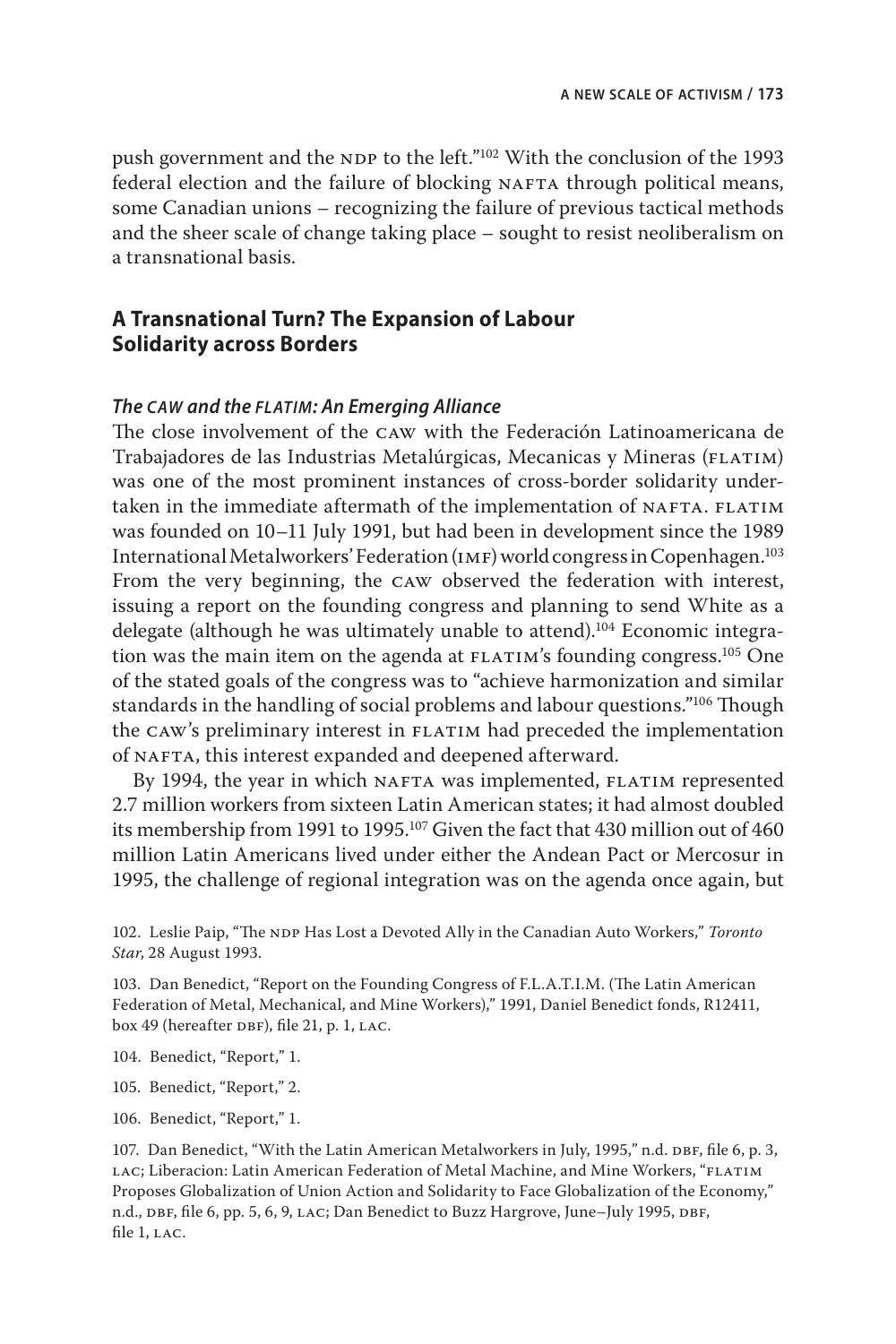push government and the NDP to the left."<sup>102</sup> With the conclusion of the 1993 federal election and the failure of blocking NAFTA through political means, some Canadian unions – recognizing the failure of previous tactical methods and the sheer scale of change taking place – sought to resist neoliberalism on a transnational basis.

# **A Transnational Turn? The Expansion of Labour Solidarity across Borders**

#### *The caw and the flatim: An Emerging Alliance*

The close involvement of the caw with the Federación Latinoamericana de Trabajadores de las Industrias Metalúrgicas, Mecanicas y Mineras (FLATIM) was one of the most prominent instances of cross-border solidarity undertaken in the immediate aftermath of the implementation of NAFTA. FLATIM was founded on 10–11 July 1991, but had been in development since the 1989 International Metalworkers' Federation (imf) world congress in Copenhagen.103 From the very beginning, the caw observed the federation with interest, issuing a report on the founding congress and planning to send White as a delegate (although he was ultimately unable to attend).104 Economic integration was the main item on the agenda at  $FLATIM's$  founding congress.<sup>105</sup> One of the stated goals of the congress was to "achieve harmonization and similar standards in the handling of social problems and labour questions."<sup>106</sup> Though the CAW's preliminary interest in FLATIM had preceded the implementation of NAFTA, this interest expanded and deepened afterward.

By 1994, the year in which NAFTA was implemented, FLATIM represented 2.7 million workers from sixteen Latin American states; it had almost doubled its membership from 1991 to 1995.<sup>107</sup> Given the fact that 430 million out of 460 million Latin Americans lived under either the Andean Pact or Mercosur in 1995, the challenge of regional integration was on the agenda once again, but

102. Leslie Paip, "The NDP Has Lost a Devoted Ally in the Canadian Auto Workers," *Toronto Star*, 28 August 1993.

103. Dan Benedict, "Report on the Founding Congress of F.L.A.T.I.M. (The Latin American Federation of Metal, Mechanical, and Mine Workers)," 1991, Daniel Benedict fonds, R12411, box 49 (hereafter  $DBF$ ), file 21, p. 1, LAC.

- 104. Benedict, "Report," 1.
- 105. Benedict, "Report," 2.
- 106. Benedict, "Report," 1.

107. Dan Benedict, "With the Latin American Metalworkers in July, 1995," n.d. DBF, file 6, p. 3, LAC; Liberacion: Latin American Federation of Metal Machine, and Mine Workers, "FLATIM Proposes Globalization of Union Action and Solidarity to Face Globalization of the Economy," n.d., DBF, file 6, pp. 5, 6, 9, LAC; Dan Benedict to Buzz Hargrove, June–July 1995, DBF, file 1, LAC.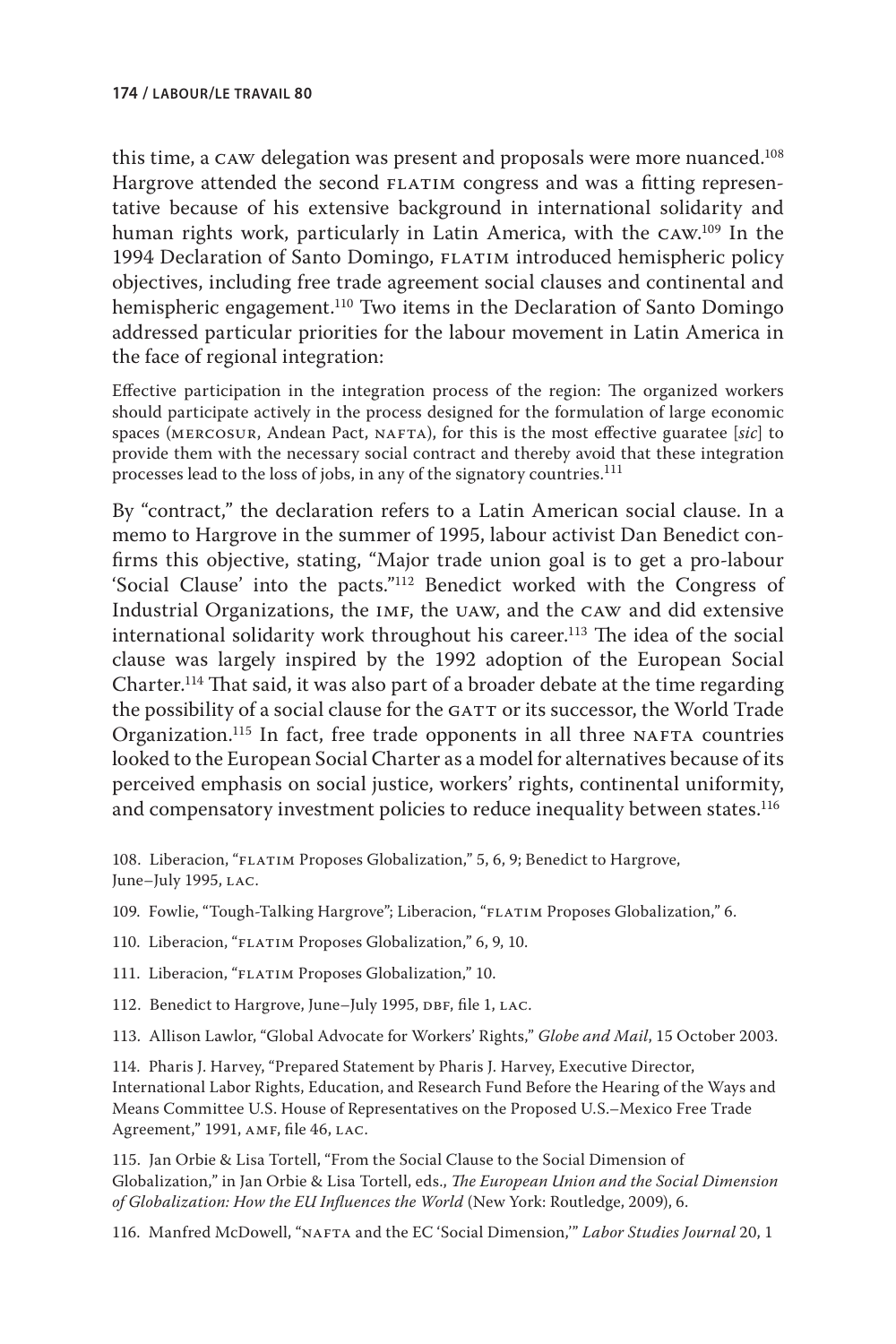this time, a CAW delegation was present and proposals were more nuanced.<sup>108</sup> Hargrove attended the second FLATIM congress and was a fitting representative because of his extensive background in international solidarity and human rights work, particularly in Latin America, with the caw. 109 In the 1994 Declaration of Santo Domingo, FLATIM introduced hemispheric policy objectives, including free trade agreement social clauses and continental and hemispheric engagement.<sup>110</sup> Two items in the Declaration of Santo Domingo addressed particular priorities for the labour movement in Latin America in the face of regional integration:

Effective participation in the integration process of the region: The organized workers should participate actively in the process designed for the formulation of large economic spaces (MERCOSUR, Andean Pact, NAFTA), for this is the most effective guaratee [sic] to provide them with the necessary social contract and thereby avoid that these integration processes lead to the loss of jobs, in any of the signatory countries.<sup>111</sup>

By "contract," the declaration refers to a Latin American social clause. In a memo to Hargrove in the summer of 1995, labour activist Dan Benedict confirms this objective, stating, "Major trade union goal is to get a pro-labour 'Social Clause' into the pacts."112 Benedict worked with the Congress of Industrial Organizations, the imf, the uaw, and the caw and did extensive international solidarity work throughout his career.<sup>113</sup> The idea of the social clause was largely inspired by the 1992 adoption of the European Social Charter.114 That said, it was also part of a broader debate at the time regarding the possibility of a social clause for the GATT or its successor, the World Trade Organization.<sup>115</sup> In fact, free trade opponents in all three NAFTA countries looked to the European Social Charter as a model for alternatives because of its perceived emphasis on social justice, workers' rights, continental uniformity, and compensatory investment policies to reduce inequality between states.<sup>116</sup>

108. Liberacion, "FLATIM Proposes Globalization," 5, 6, 9; Benedict to Hargrove, June–July 1995, LAC.

- 109. Fowlie, "Tough-Talking Hargrove"; Liberacion, "FLATIM Proposes Globalization," 6.
- 110. Liberacion, "FLATIM Proposes Globalization," 6, 9, 10.
- 111. Liberacion, "FLATIM Proposes Globalization," 10.
- 112. Benedict to Hargrove, June–July 1995, DBF, file 1, LAC.
- 113. Allison Lawlor, "Global Advocate for Workers' Rights," *Globe and Mail*, 15 October 2003.

114. Pharis J. Harvey, "Prepared Statement by Pharis J. Harvey, Executive Director, International Labor Rights, Education, and Research Fund Before the Hearing of the Ways and Means Committee U.S. House of Representatives on the Proposed U.S.–Mexico Free Trade Agreement," 1991, AMF, file 46, LAC.

115. Jan Orbie & Lisa Tortell, "From the Social Clause to the Social Dimension of Globalization," in Jan Orbie & Lisa Tortell, eds., *The European Union and the Social Dimension of Globalization: How the EU Influences the World* (New York: Routledge, 2009), 6.

116. Manfred McDowell, "nafta and the EC 'Social Dimension,'" *Labor Studies Journal* 20, 1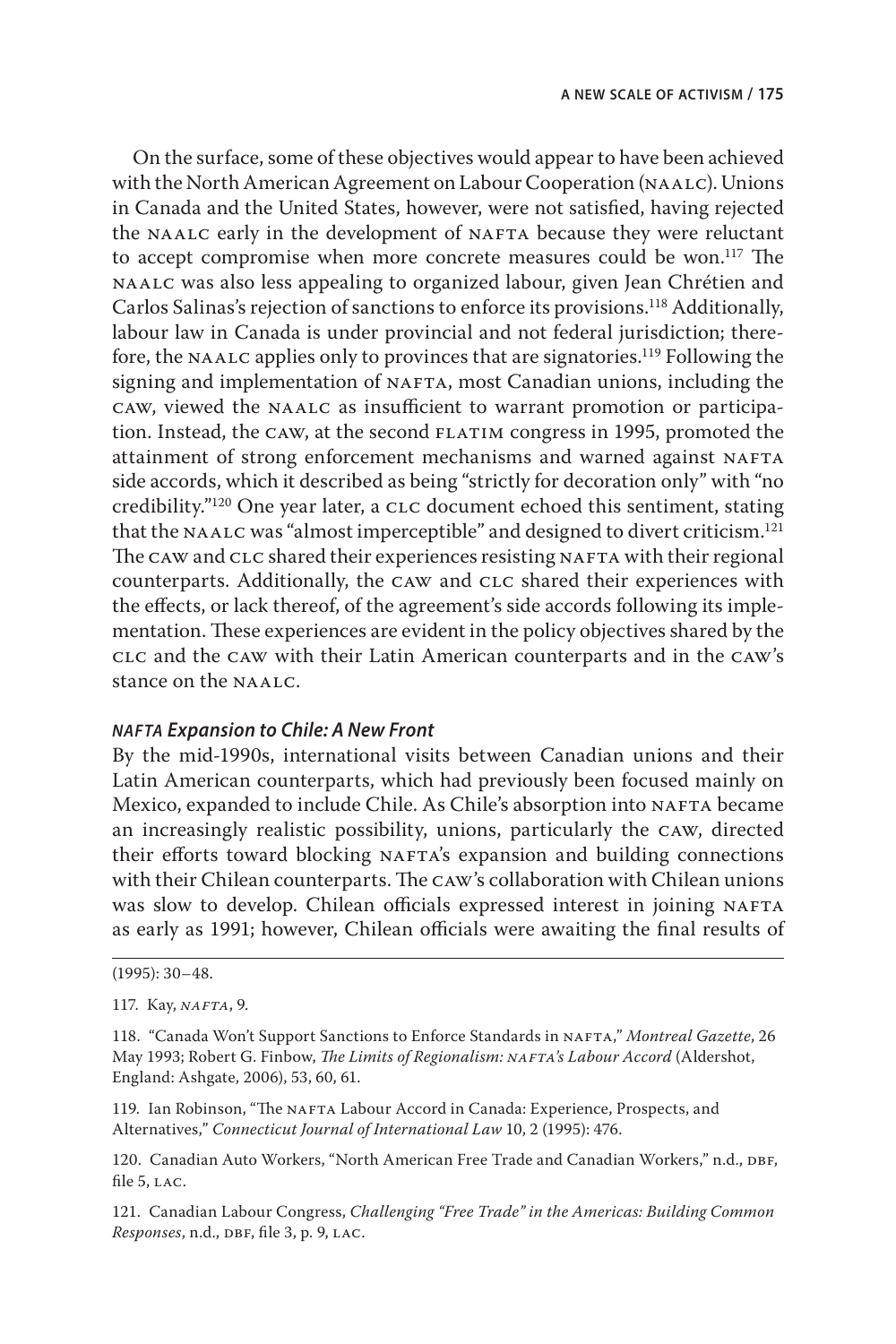On the surface, some of these objectives would appear to have been achieved with the North American Agreement on Labour Cooperation (NAALC). Unions in Canada and the United States, however, were not satisfied, having rejected the NAALC early in the development of NAFTA because they were reluctant to accept compromise when more concrete measures could be won.<sup>117</sup> The naalc was also less appealing to organized labour, given Jean Chrétien and Carlos Salinas's rejection of sanctions to enforce its provisions.118 Additionally, labour law in Canada is under provincial and not federal jurisdiction; therefore, the NAALC applies only to provinces that are signatories.<sup>119</sup> Following the signing and implementation of NAFTA, most Canadian unions, including the caw, viewed the naalc as insufficient to warrant promotion or participation. Instead, the caw, at the second flatim congress in 1995, promoted the attainment of strong enforcement mechanisms and warned against NAFTA side accords, which it described as being "strictly for decoration only" with "no credibility."120 One year later, a clc document echoed this sentiment, stating that the NAALC was "almost imperceptible" and designed to divert criticism.<sup>121</sup> The CAW and CLC shared their experiences resisting NAFTA with their regional counterparts. Additionally, the CAW and CLC shared their experiences with the effects, or lack thereof, of the agreement's side accords following its implementation. These experiences are evident in the policy objectives shared by the clc and the caw with their Latin American counterparts and in the caw's stance on the naalc.

#### *nafta Expansion to Chile: A New Front*

By the mid-1990s, international visits between Canadian unions and their Latin American counterparts, which had previously been focused mainly on Mexico, expanded to include Chile. As Chile's absorption into NAFTA became an increasingly realistic possibility, unions, particularly the caw, directed their efforts toward blocking NAFTA's expansion and building connections with their Chilean counterparts. The caw's collaboration with Chilean unions was slow to develop. Chilean officials expressed interest in joining NAFTA as early as 1991; however, Chilean officials were awaiting the final results of

119. Ian Robinson, "The NAFTA Labour Accord in Canada: Experience, Prospects, and Alternatives," *Connecticut Journal of International Law* 10, 2 (1995): 476.

120. Canadian Auto Workers, "North American Free Trade and Canadian Workers," n.d., DBF, file 5, LAC.

121. Canadian Labour Congress, *Challenging "Free Trade" in the Americas: Building Common Responses*, n.d., DBF, file 3, p. 9, LAC.

<sup>(1995): 30–48.</sup>

<sup>117.</sup> Kay, *nafta*, 9.

<sup>118. &</sup>quot;Canada Won't Support Sanctions to Enforce Standards in NAFTA," Montreal Gazette, 26 May 1993; Robert G. Finbow, *The Limits of Regionalism: NAFTA's Labour Accord* (Aldershot, England: Ashgate, 2006), 53, 60, 61.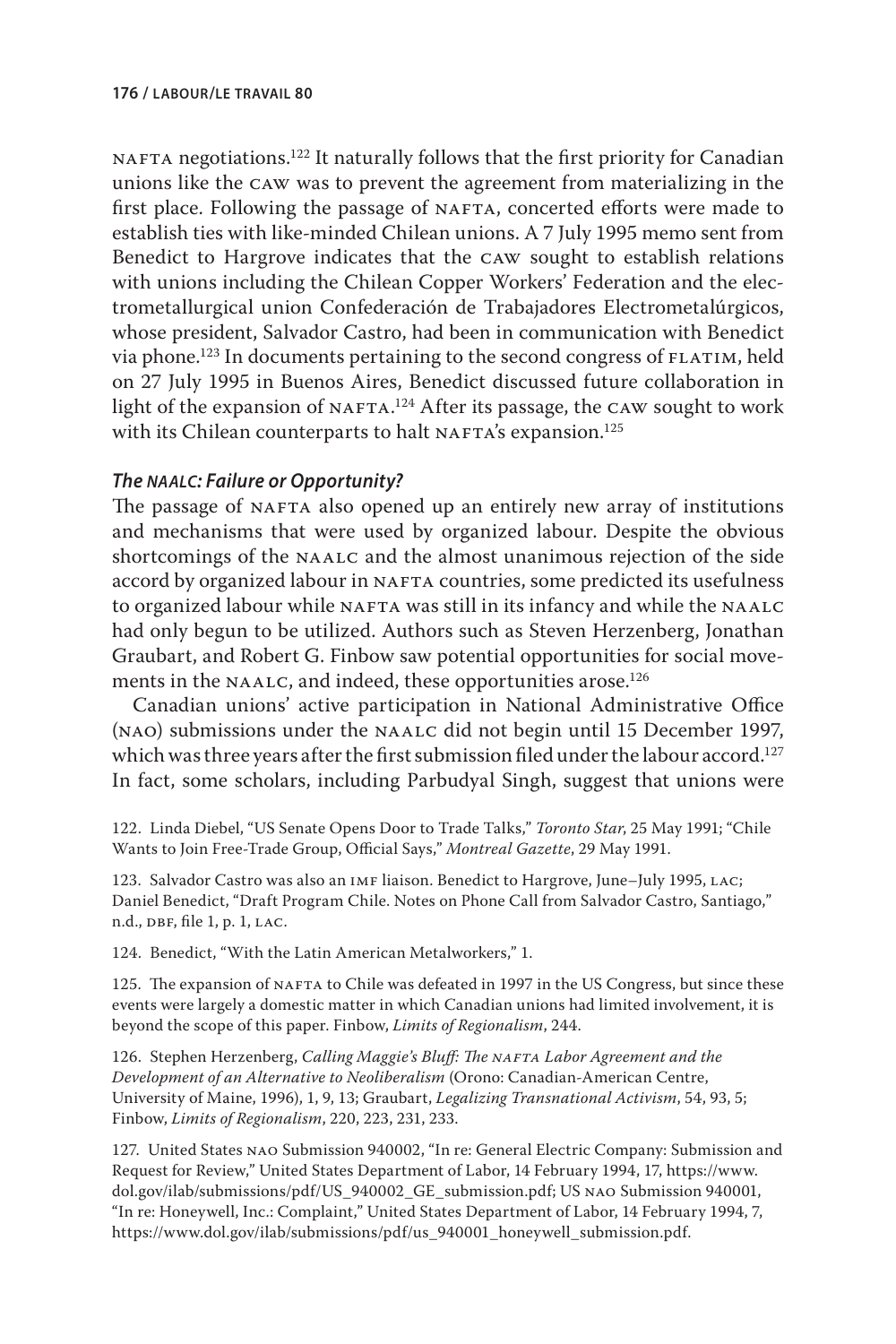NAFTA negotiations.<sup>122</sup> It naturally follows that the first priority for Canadian unions like the caw was to prevent the agreement from materializing in the first place. Following the passage of NAFTA, concerted efforts were made to establish ties with like-minded Chilean unions. A 7 July 1995 memo sent from Benedict to Hargrove indicates that the caw sought to establish relations with unions including the Chilean Copper Workers' Federation and the electrometallurgical union Confederación de Trabajadores Electrometalúrgicos, whose president, Salvador Castro, had been in communication with Benedict via phone.<sup>123</sup> In documents pertaining to the second congress of FLATIM, held on 27 July 1995 in Buenos Aires, Benedict discussed future collaboration in light of the expansion of <code>NAFTA. $^{124}$ </code> After its passage, the <code>CAW</code> sought to work with its Chilean counterparts to halt  $NAFTA's$  expansion.<sup>125</sup>

#### *The naalc: Failure or Opportunity?*

The passage of NAFTA also opened up an entirely new array of institutions and mechanisms that were used by organized labour. Despite the obvious shortcomings of the NAALC and the almost unanimous rejection of the side accord by organized labour in NAFTA countries, some predicted its usefulness to organized labour while NAFTA was still in its infancy and while the NAALC had only begun to be utilized. Authors such as Steven Herzenberg, Jonathan Graubart, and Robert G. Finbow saw potential opportunities for social movements in the NAALC, and indeed, these opportunities arose.<sup>126</sup>

Canadian unions' active participation in National Administrative Office (nao) submissions under the naalc did not begin until 15 December 1997, which was three years after the first submission filed under the labour accord.<sup>127</sup> In fact, some scholars, including Parbudyal Singh, suggest that unions were

122. Linda Diebel, "US Senate Opens Door to Trade Talks," *Toronto Star*, 25 May 1991; "Chile Wants to Join Free-Trade Group, Official Says," *Montreal Gazette*, 29 May 1991.

123. Salvador Castro was also an IMF liaison. Benedict to Hargrove, June–July 1995, LAC; Daniel Benedict, "Draft Program Chile. Notes on Phone Call from Salvador Castro, Santiago," n.d., DBF, file 1, p. 1, LAC.

124. Benedict, "With the Latin American Metalworkers," 1.

125. The expansion of NAFTA to Chile was defeated in 1997 in the US Congress, but since these events were largely a domestic matter in which Canadian unions had limited involvement, it is beyond the scope of this paper. Finbow, *Limits of Regionalism*, 244.

126. Stephen Herzenberg, *Calling Maggie's Bluff: The NAFTA Labor Agreement and the Development of an Alternative to Neoliberalism* (Orono: Canadian-American Centre, University of Maine, 1996), 1, 9, 13; Graubart, *Legalizing Transnational Activism*, 54, 93, 5; Finbow, *Limits of Regionalism*, 220, 223, 231, 233.

127. United States nao Submission 940002, "In re: General Electric Company: Submission and Request for Review," United States Department of Labor, 14 February 1994, 17, [https://www.](https://www.dol.gov/ilab/submissions/pdf/US_940002_GE_submission.pdf) [dol.gov/ilab/submissions/pdf/US\\_940002\\_GE\\_submission.pdf;](https://www.dol.gov/ilab/submissions/pdf/US_940002_GE_submission.pdf) US nao Submission 940001, "In re: Honeywell, Inc.: Complaint," United States Department of Labor, 14 February 1994, 7, [https://www.dol.gov/ilab/submissions/pdf/us\\_940001\\_honeywell\\_submission.pdf.](https://www.dol.gov/ilab/submissions/pdf/us_940001_honeywell_submission.pdf)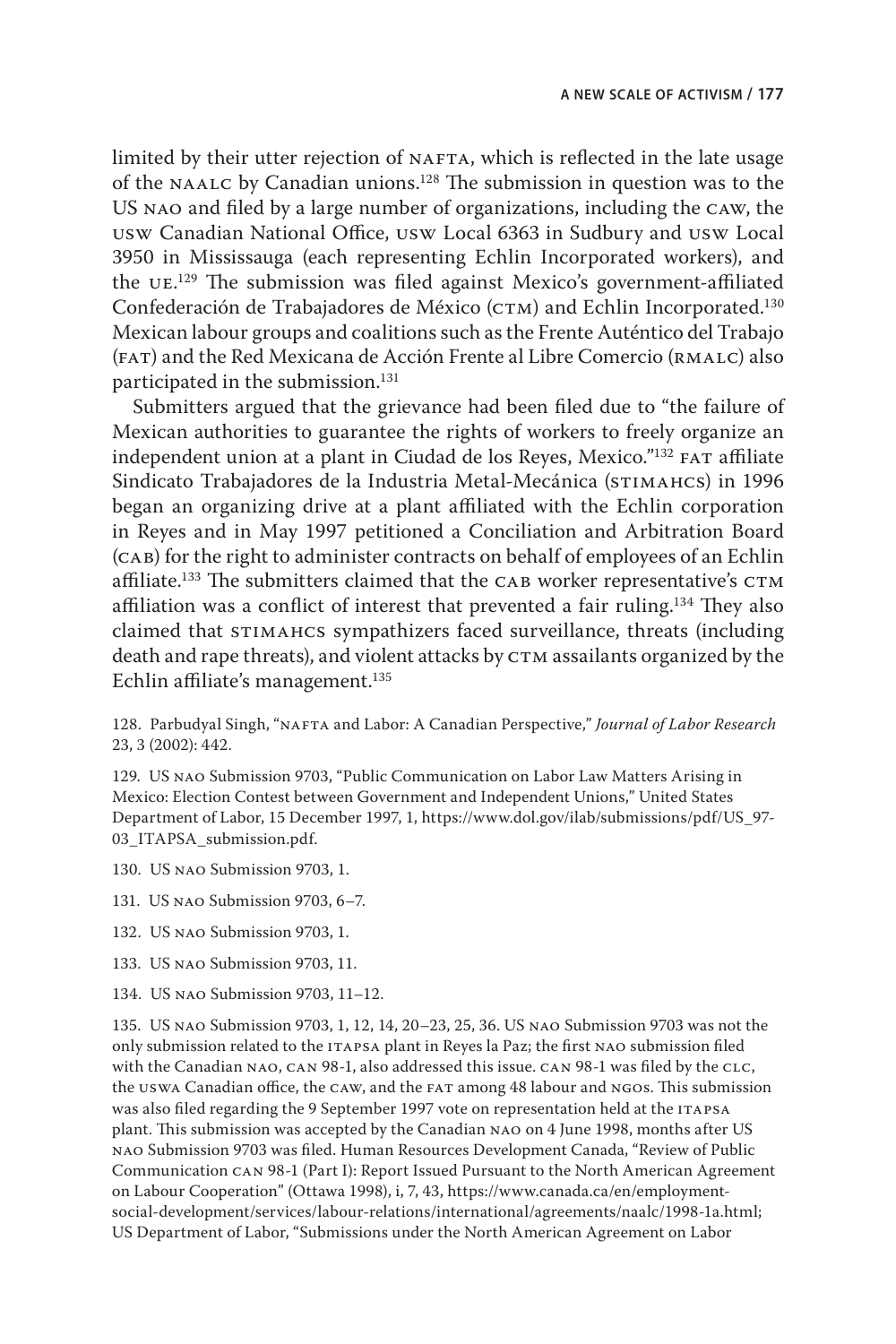limited by their utter rejection of NAFTA, which is reflected in the late usage of the naalc by Canadian unions.128 The submission in question was to the US nao and filed by a large number of organizations, including the caw, the usw Canadian National Office, usw Local 6363 in Sudbury and usw Local 3950 in Mississauga (each representing Echlin Incorporated workers), and the u $E^{129}$  The submission was filed against Mexico's government-affiliated Confederación de Trabajadores de México (CTM) and Echlin Incorporated.<sup>130</sup> Mexican labour groups and coalitions such as the Frente Auténtico del Trabajo (FAT) and the Red Mexicana de Acción Frente al Libre Comercio (RMALC) also participated in the submission.<sup>131</sup>

Submitters argued that the grievance had been filed due to "the failure of Mexican authorities to guarantee the rights of workers to freely organize an independent union at a plant in Ciudad de los Reyes, Mexico."<sup>132</sup> FAT affiliate Sindicato Trabajadores de la Industria Metal-Mecánica (STIMAHCS) in 1996 began an organizing drive at a plant affiliated with the Echlin corporation in Reyes and in May 1997 petitioned a Conciliation and Arbitration Board (cab) for the right to administer contracts on behalf of employees of an Echlin affiliate.<sup>133</sup> The submitters claimed that the CAB worker representative's  $CTM$ affiliation was a conflict of interest that prevented a fair ruling.<sup>134</sup> They also claimed that stimahcs sympathizers faced surveillance, threats (including death and rape threats), and violent attacks by CTM assailants organized by the Echlin affiliate's management.135

128. Parbudyal Singh, "nafta and Labor: A Canadian Perspective," *Journal of Labor Research* 23, 3 (2002): 442.

129. US nao Submission 9703, "Public Communication on Labor Law Matters Arising in Mexico: Election Contest between Government and Independent Unions," United States Department of Labor, 15 December 1997, 1, [https://www.dol.gov/ilab/submissions/pdf/US\\_97-](https://www.dol.gov/ilab/submissions/pdf/US_97-03_ITAPSA_submission.pdf) [03\\_ITAPSA\\_submission.pdf.](https://www.dol.gov/ilab/submissions/pdf/US_97-03_ITAPSA_submission.pdf)

- 130. US nao Submission 9703, 1.
- 131. US nao Submission 9703, 6–7.
- 132. US nao Submission 9703, 1.
- 133. US nao Submission 9703, 11.
- 134. US nao Submission 9703, 11–12.

135. US nao Submission 9703, 1, 12, 14, 20–23, 25, 36. US nao Submission 9703 was not the only submission related to the ITAPSA plant in Reyes la Paz; the first NAO submission filed with the Canadian NAO, CAN 98-1, also addressed this issue. CAN 98-1 was filed by the CLC, the uswa Canadian office, the caw, and the fat among 48 labour and ngos. This submission was also filed regarding the 9 September 1997 vote on representation held at the ITAPSA plant. This submission was accepted by the Canadian nao on 4 June 1998, months after US nao Submission 9703 was filed. Human Resources Development Canada, "Review of Public Communication can 98-1 (Part I): Report Issued Pursuant to the North American Agreement on Labour Cooperation" (Ottawa 1998), i, 7, 43, [https://www.canada.ca/en/employment](https://www.canada.ca/en/employment-social-development/services/labour-relations/international/agreements/naalc/1998-1a.html)[social-development/services/labour-relations/international/agreements/naalc/1998-1a.html;](https://www.canada.ca/en/employment-social-development/services/labour-relations/international/agreements/naalc/1998-1a.html) US Department of Labor, "Submissions under the North American Agreement on Labor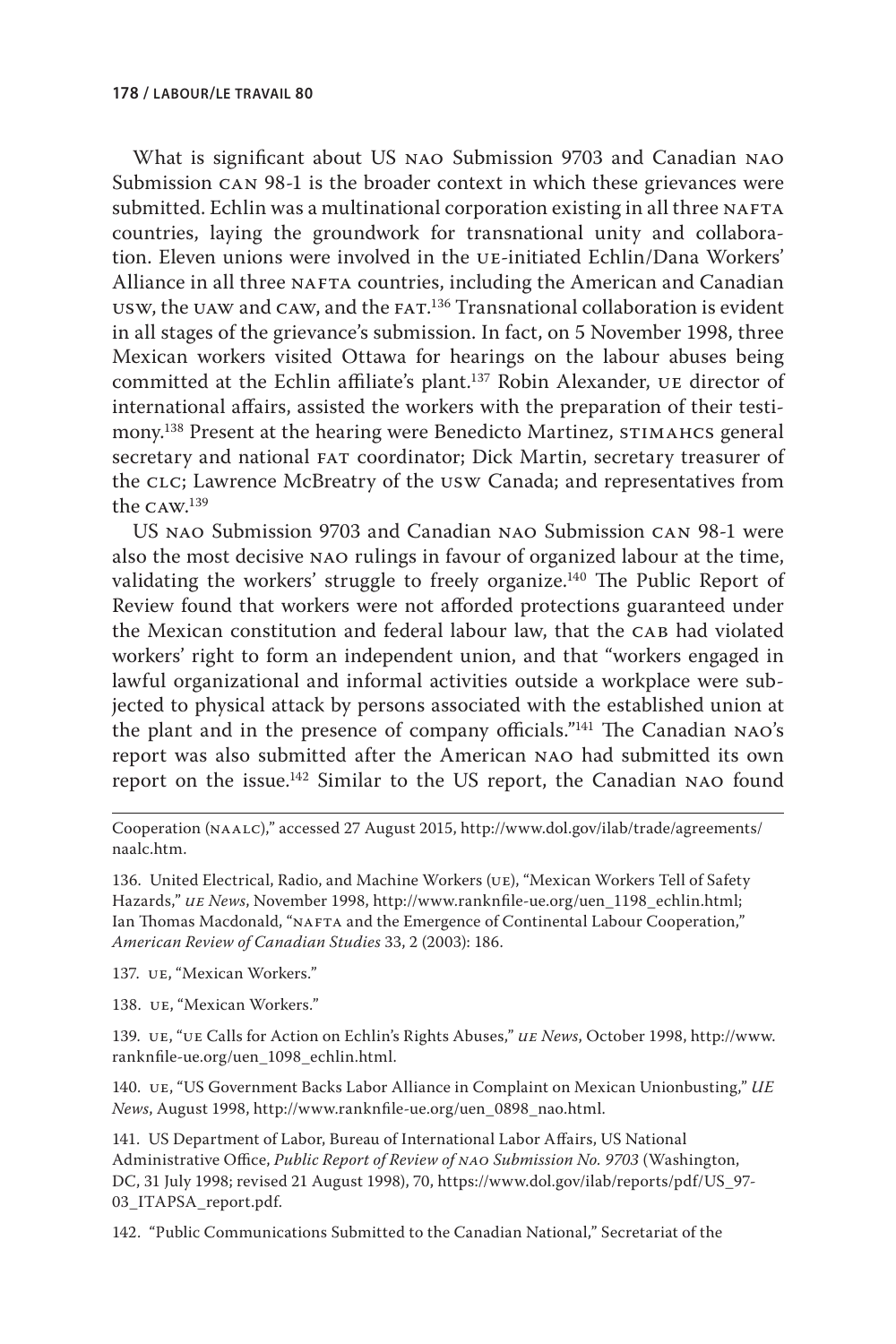What is significant about US nao Submission 9703 and Canadian nao Submission can 98-1 is the broader context in which these grievances were submitted. Echlin was a multinational corporation existing in all three NAFTA countries, laying the groundwork for transnational unity and collaboration. Eleven unions were involved in the ue-initiated Echlin/Dana Workers' Alliance in all three NAFTA countries, including the American and Canadian  $\sigma$ usw, the  $\sigma$ uaw and  $\sigma$ aw, and the  $\sigma$  Fa $\tau$ . Transnational collaboration is evident in all stages of the grievance's submission. In fact, on 5 November 1998, three Mexican workers visited Ottawa for hearings on the labour abuses being committed at the Echlin affiliate's plant.137 Robin Alexander, ue director of international affairs, assisted the workers with the preparation of their testimony.<sup>138</sup> Present at the hearing were Benedicto Martinez, STIMAHCS general secretary and national fat coordinator; Dick Martin, secretary treasurer of the CLC; Lawrence McBreatry of the USW Canada; and representatives from the caw. 139

US nao Submission 9703 and Canadian nao Submission can 98-1 were also the most decisive nao rulings in favour of organized labour at the time, validating the workers' struggle to freely organize.<sup>140</sup> The Public Report of Review found that workers were not afforded protections guaranteed under the Mexican constitution and federal labour law, that the CAB had violated workers' right to form an independent union, and that "workers engaged in lawful organizational and informal activities outside a workplace were subjected to physical attack by persons associated with the established union at the plant and in the presence of company officials."141 The Canadian nao's report was also submitted after the American nao had submitted its own report on the issue.142 Similar to the US report, the Canadian nao found

Cooperation (naalc)," accessed 27 August 2015, [http://www.dol.gov/ilab/trade/agreements/](http://www.dol.gov/ilab/trade/agreements/naalc.htm) [naalc.htm.](http://www.dol.gov/ilab/trade/agreements/naalc.htm)

136. United Electrical, Radio, and Machine Workers (ue), "Mexican Workers Tell of Safety Hazards," *ue News*, November 1998, [http://www.ranknfile-ue.org/uen\\_1198\\_echlin.html;](http://www.ranknfile-ue.org/uen_1198_echlin.html) Ian Thomas Macdonald, "NAFTA and the Emergence of Continental Labour Cooperation," *American Review of Canadian Studies* 33, 2 (2003): 186.

137. ue, "Mexican Workers."

138. ue, "Mexican Workers."

139. ue, "ue Calls for Action on Echlin's Rights Abuses," *ue News*, October 1998, [http://www.](http://www.ranknfile-ue.org/uen_1098_echlin.html) [ranknfile-ue.org/uen\\_1098\\_echlin.html.](http://www.ranknfile-ue.org/uen_1098_echlin.html)

140. ue, "US Government Backs Labor Alliance in Complaint on Mexican Unionbusting," *UE News*, August 1998, [http://www.ranknfile-ue.org/uen\\_0898\\_nao.html.](http://www.ranknfile-ue.org/uen_0898_nao.html)

141. US Department of Labor, Bureau of International Labor Affairs, US National Administrative Office, *Public Report of Review of nao Submission No. 9703* (Washington, DC, 31 July 1998; revised 21 August 1998), 70, [https://www.dol.gov/ilab/reports/pdf/US\\_97-](https://www.dol.gov/ilab/reports/pdf/US_97-03_ITAPSA_report.pdf) [03\\_ITAPSA\\_report.pdf.](https://www.dol.gov/ilab/reports/pdf/US_97-03_ITAPSA_report.pdf)

142. "Public Communications Submitted to the Canadian National," Secretariat of the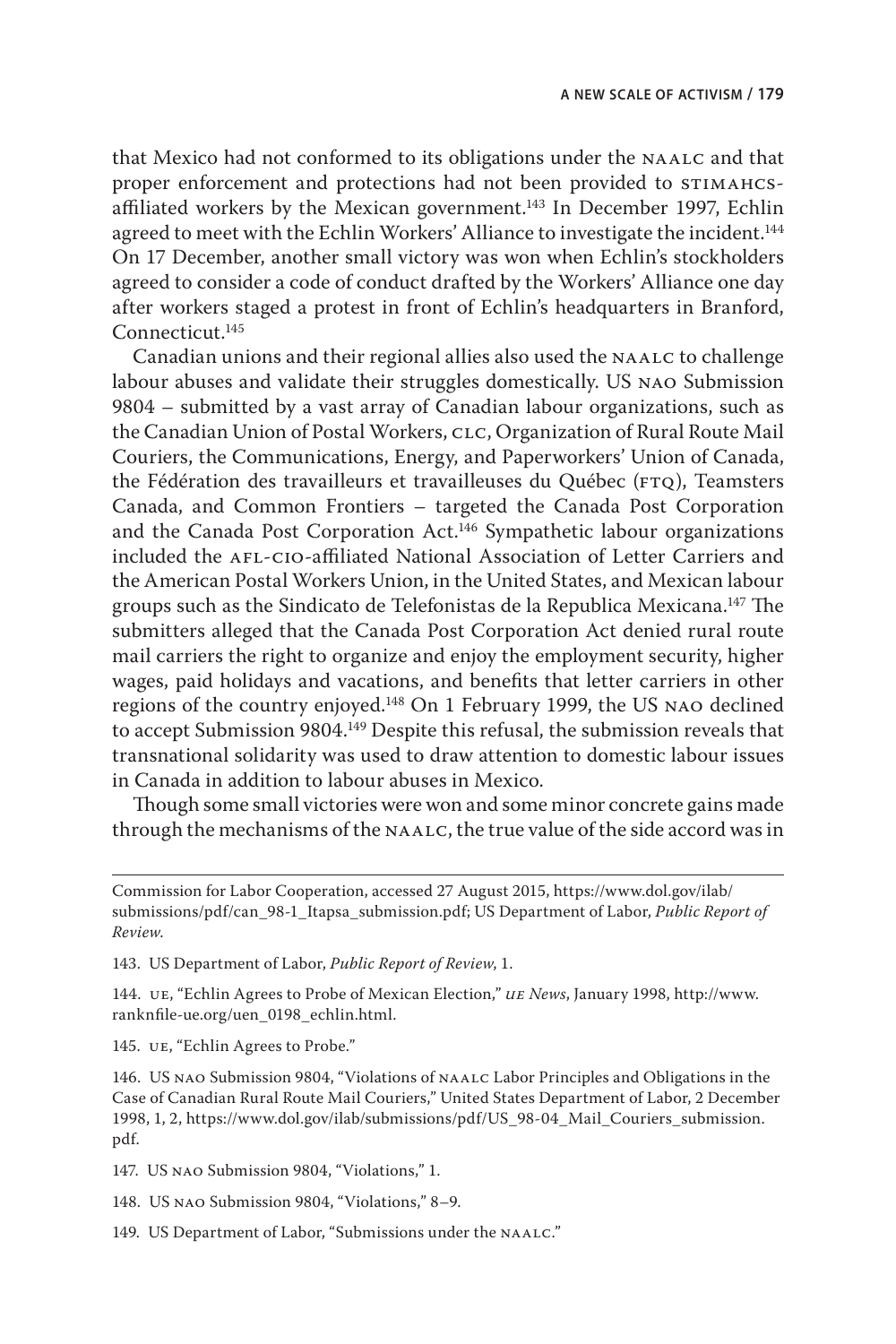that Mexico had not conformed to its obligations under the NAALC and that proper enforcement and protections had not been provided to STIMAHCSaffiliated workers by the Mexican government.<sup>143</sup> In December 1997, Echlin agreed to meet with the Echlin Workers' Alliance to investigate the incident.<sup>144</sup> On 17 December, another small victory was won when Echlin's stockholders agreed to consider a code of conduct drafted by the Workers' Alliance one day after workers staged a protest in front of Echlin's headquarters in Branford, Connecticut.145

Canadian unions and their regional allies also used the NAALC to challenge labour abuses and validate their struggles domestically. US nao Submission 9804 – submitted by a vast array of Canadian labour organizations, such as the Canadian Union of Postal Workers, clc, Organization of Rural Route Mail Couriers, the Communications, Energy, and Paperworkers' Union of Canada, the Fédération des travailleurs et travailleuses du Québec (FTQ), Teamsters Canada, and Common Frontiers – targeted the Canada Post Corporation and the Canada Post Corporation Act.146 Sympathetic labour organizations included the afl-cio-affiliated National Association of Letter Carriers and the American Postal Workers Union, in the United States, and Mexican labour groups such as the Sindicato de Telefonistas de la Republica Mexicana.147 The submitters alleged that the Canada Post Corporation Act denied rural route mail carriers the right to organize and enjoy the employment security, higher wages, paid holidays and vacations, and benefits that letter carriers in other regions of the country enjoyed.148 On 1 February 1999, the US nao declined to accept Submission 9804.<sup>149</sup> Despite this refusal, the submission reveals that transnational solidarity was used to draw attention to domestic labour issues in Canada in addition to labour abuses in Mexico.

Though some small victories were won and some minor concrete gains made through the mechanisms of the naalc, the true value of the side accord was in

143. US Department of Labor, *Public Report of Review*, 1.

144. ue, "Echlin Agrees to Probe of Mexican Election," *ue News*, January 1998, [http://www.](http://www.ranknfile-ue.org/uen_0198_echlin.html) [ranknfile-ue.org/uen\\_0198\\_echlin.html.](http://www.ranknfile-ue.org/uen_0198_echlin.html)

145. ue, "Echlin Agrees to Probe."

146. US nao Submission 9804, "Violations of naalc Labor Principles and Obligations in the Case of Canadian Rural Route Mail Couriers," United States Department of Labor, 2 December 1998, 1, 2, [https://www.dol.gov/ilab/submissions/pdf/US\\_98-04\\_Mail\\_Couriers\\_submission.](https://www.dol.gov/ilab/submissions/pdf/US_98-04_Mail_Couriers_submission.pdf) [pdf.](https://www.dol.gov/ilab/submissions/pdf/US_98-04_Mail_Couriers_submission.pdf)

147. US nao Submission 9804, "Violations," 1.

148. US nao Submission 9804, "Violations," 8–9.

149. US Department of Labor, "Submissions under the NAALC."

Commission for Labor Cooperation, accessed 27 August 2015, [https://www.dol.gov/ilab/](https://www.dol.gov/ilab/submissions/pdf/can_98-1_Itapsa_submission.pdf) [submissions/pdf/can\\_98-1\\_Itapsa\\_submission.pdf;](https://www.dol.gov/ilab/submissions/pdf/can_98-1_Itapsa_submission.pdf) US Department of Labor, *Public Report of Review*.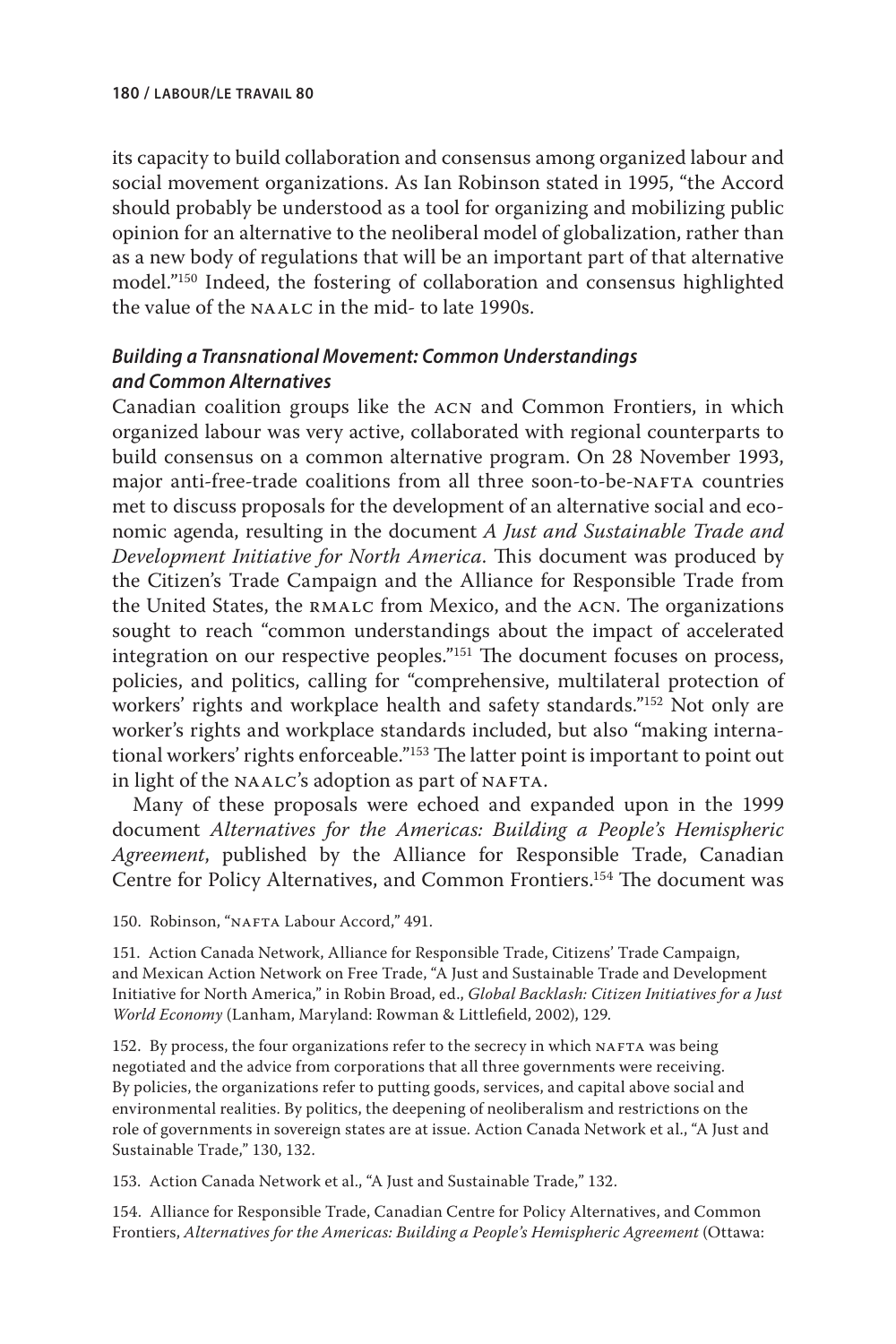its capacity to build collaboration and consensus among organized labour and social movement organizations. As Ian Robinson stated in 1995, "the Accord should probably be understood as a tool for organizing and mobilizing public opinion for an alternative to the neoliberal model of globalization, rather than as a new body of regulations that will be an important part of that alternative model."150 Indeed, the fostering of collaboration and consensus highlighted the value of the naalc in the mid- to late 1990s.

## *Building a Transnational Movement: Common Understandings and Common Alternatives*

Canadian coalition groups like the acn and Common Frontiers, in which organized labour was very active, collaborated with regional counterparts to build consensus on a common alternative program. On 28 November 1993, major anti-free-trade coalitions from all three soon-to-be-NAFTA countries met to discuss proposals for the development of an alternative social and economic agenda, resulting in the document *A Just and Sustainable Trade and Development Initiative for North America*. This document was produced by the Citizen's Trade Campaign and the Alliance for Responsible Trade from the United States, the rmalc from Mexico, and the acn. The organizations sought to reach "common understandings about the impact of accelerated integration on our respective peoples."151 The document focuses on process, policies, and politics, calling for "comprehensive, multilateral protection of workers' rights and workplace health and safety standards."152 Not only are worker's rights and workplace standards included, but also "making international workers' rights enforceable."153 The latter point is important to point out in light of the NAALC's adoption as part of NAFTA.

Many of these proposals were echoed and expanded upon in the 1999 document *Alternatives for the Americas: Building a People's Hemispheric Agreement*, published by the Alliance for Responsible Trade, Canadian Centre for Policy Alternatives, and Common Frontiers.154 The document was

150. Robinson, "NAFTA Labour Accord," 491.

151. Action Canada Network, Alliance for Responsible Trade, Citizens' Trade Campaign, and Mexican Action Network on Free Trade, "A Just and Sustainable Trade and Development Initiative for North America," in Robin Broad, ed., *Global Backlash: Citizen Initiatives for a Just World Economy* (Lanham, Maryland: Rowman & Littlefield, 2002), 129.

152. By process, the four organizations refer to the secrecy in which NAFTA was being negotiated and the advice from corporations that all three governments were receiving. By policies, the organizations refer to putting goods, services, and capital above social and environmental realities. By politics, the deepening of neoliberalism and restrictions on the role of governments in sovereign states are at issue. Action Canada Network et al., "A Just and Sustainable Trade," 130, 132.

153. Action Canada Network et al., "A Just and Sustainable Trade," 132.

154. Alliance for Responsible Trade, Canadian Centre for Policy Alternatives, and Common Frontiers, *Alternatives for the Americas: Building a People's Hemispheric Agreement* (Ottawa: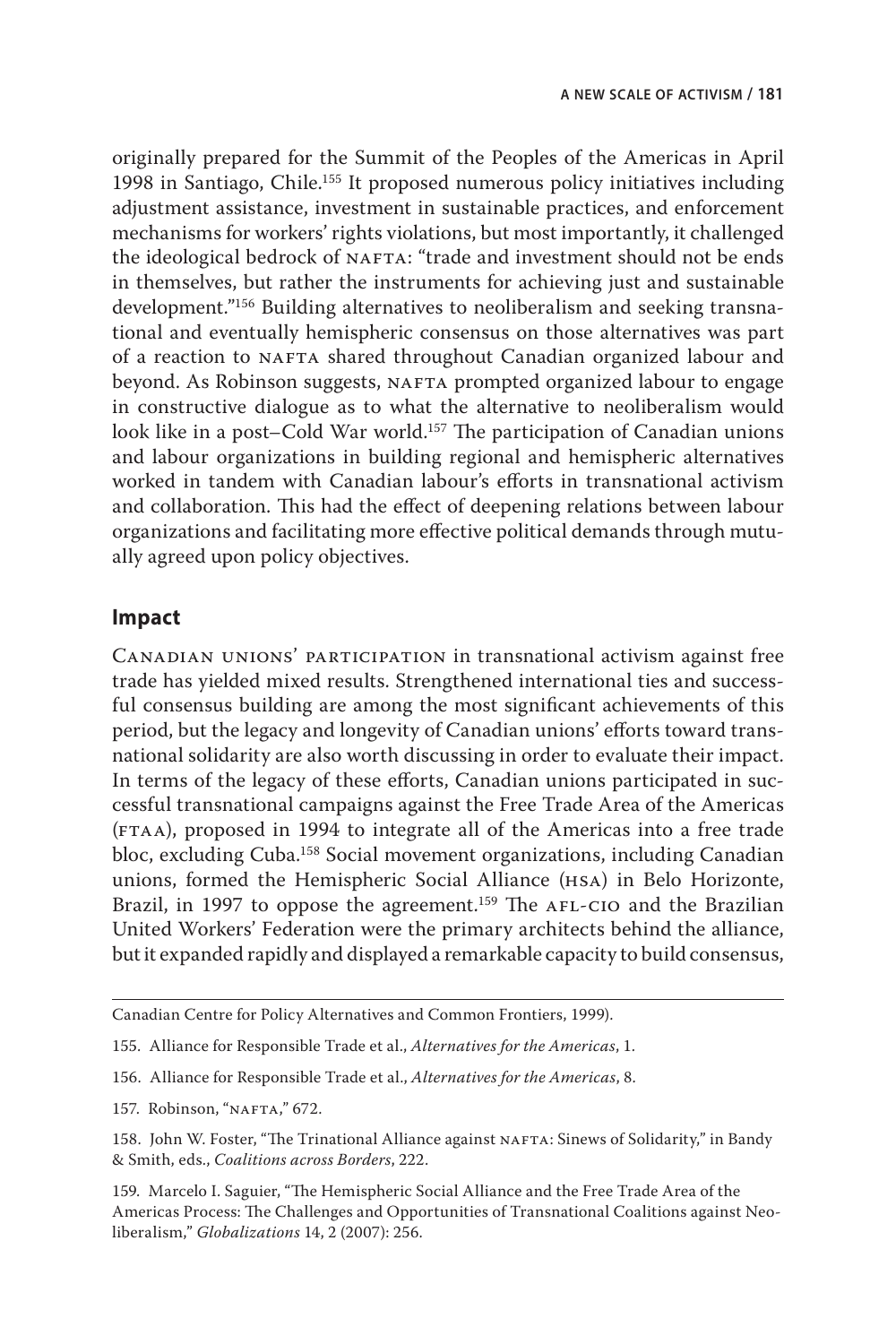originally prepared for the Summit of the Peoples of the Americas in April 1998 in Santiago, Chile.<sup>155</sup> It proposed numerous policy initiatives including adjustment assistance, investment in sustainable practices, and enforcement mechanisms for workers' rights violations, but most importantly, it challenged the ideological bedrock of NAFTA: "trade and investment should not be ends in themselves, but rather the instruments for achieving just and sustainable development."156 Building alternatives to neoliberalism and seeking transnational and eventually hemispheric consensus on those alternatives was part of a reaction to NAFTA shared throughout Canadian organized labour and beyond. As Robinson suggests, NAFTA prompted organized labour to engage in constructive dialogue as to what the alternative to neoliberalism would look like in a post–Cold War world.<sup>157</sup> The participation of Canadian unions and labour organizations in building regional and hemispheric alternatives worked in tandem with Canadian labour's efforts in transnational activism and collaboration. This had the effect of deepening relations between labour organizations and facilitating more effective political demands through mutually agreed upon policy objectives.

#### **Impact**

Canadian unions' participation in transnational activism against free trade has yielded mixed results. Strengthened international ties and successful consensus building are among the most significant achievements of this period, but the legacy and longevity of Canadian unions' efforts toward transnational solidarity are also worth discussing in order to evaluate their impact. In terms of the legacy of these efforts, Canadian unions participated in successful transnational campaigns against the Free Trade Area of the Americas (ftaa), proposed in 1994 to integrate all of the Americas into a free trade bloc, excluding Cuba.158 Social movement organizations, including Canadian unions, formed the Hemispheric Social Alliance (hsa) in Belo Horizonte, Brazil, in 1997 to oppose the agreement.<sup>159</sup> The AFL-CIO and the Brazilian United Workers' Federation were the primary architects behind the alliance, but it expanded rapidly and displayed a remarkable capacity to build consensus,

Canadian Centre for Policy Alternatives and Common Frontiers, 1999).

<sup>155.</sup> Alliance for Responsible Trade et al., *Alternatives for the Americas*, 1.

<sup>156.</sup> Alliance for Responsible Trade et al., *Alternatives for the Americas*, 8.

<sup>157.</sup> Robinson, "NAFTA," 672.

<sup>158.</sup> John W. Foster, "The Trinational Alliance against NAFTA: Sinews of Solidarity," in Bandy & Smith, eds., *Coalitions across Borders*, 222.

<sup>159.</sup> Marcelo I. Saguier, "The Hemispheric Social Alliance and the Free Trade Area of the Americas Process: The Challenges and Opportunities of Transnational Coalitions against Neoliberalism," *Globalizations* 14, 2 (2007): 256.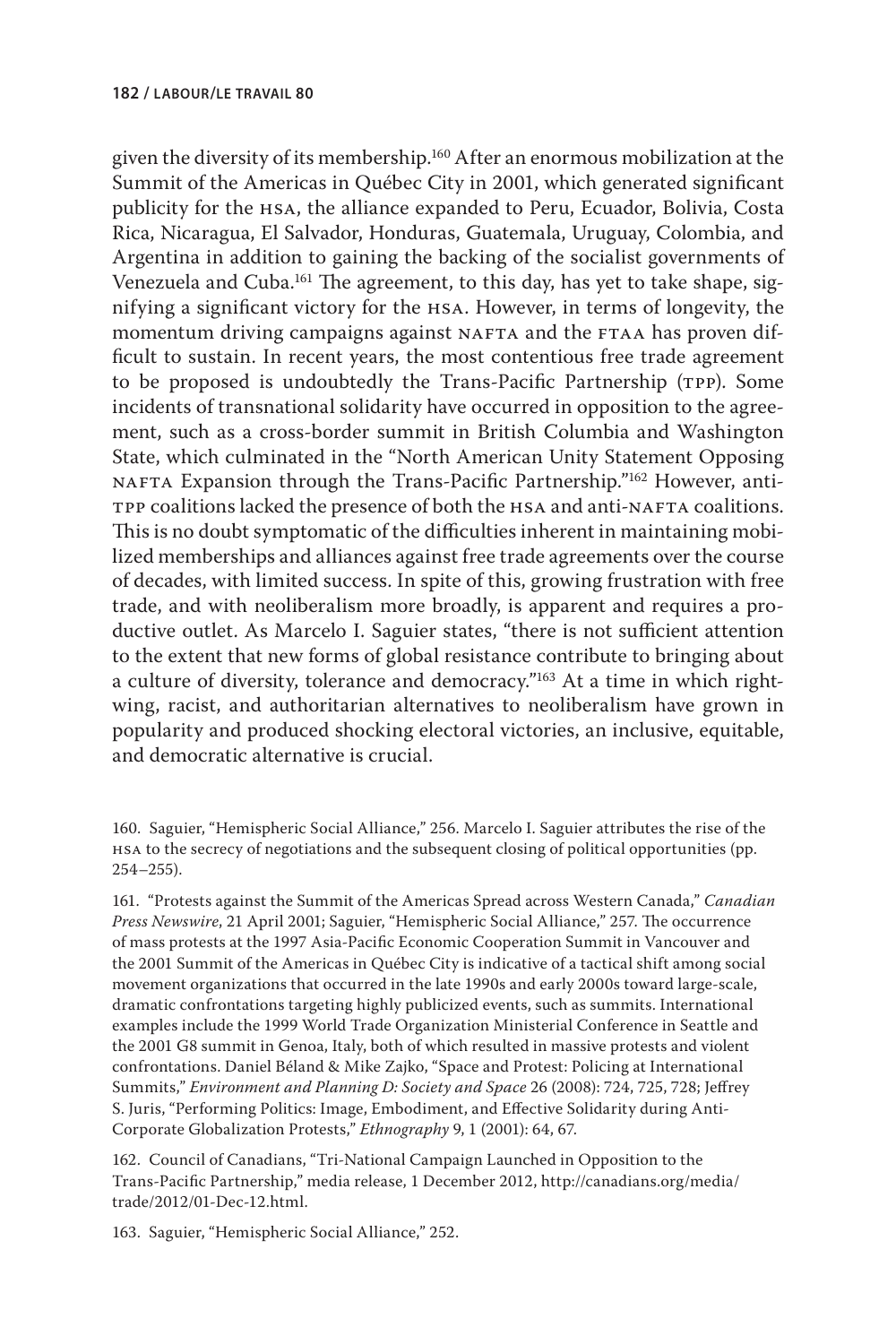given the diversity of its membership.<sup>160</sup> After an enormous mobilization at the Summit of the Americas in Québec City in 2001, which generated significant publicity for the hsa, the alliance expanded to Peru, Ecuador, Bolivia, Costa Rica, Nicaragua, El Salvador, Honduras, Guatemala, Uruguay, Colombia, and Argentina in addition to gaining the backing of the socialist governments of Venezuela and Cuba.<sup>161</sup> The agreement, to this day, has yet to take shape, signifying a significant victory for the hsa. However, in terms of longevity, the momentum driving campaigns against NAFTA and the FTAA has proven difficult to sustain. In recent years, the most contentious free trade agreement to be proposed is undoubtedly the Trans-Pacific Partnership (TPP). Some incidents of transnational solidarity have occurred in opposition to the agreement, such as a cross-border summit in British Columbia and Washington State, which culminated in the "North American Unity Statement Opposing NAFTA Expansion through the Trans-Pacific Partnership."162 However, anti-TPP coalitions lacked the presence of both the HSA and anti-NAFTA coalitions. This is no doubt symptomatic of the difficulties inherent in maintaining mobilized memberships and alliances against free trade agreements over the course of decades, with limited success. In spite of this, growing frustration with free trade, and with neoliberalism more broadly, is apparent and requires a productive outlet. As Marcelo I. Saguier states, "there is not sufficient attention to the extent that new forms of global resistance contribute to bringing about a culture of diversity, tolerance and democracy."163 At a time in which rightwing, racist, and authoritarian alternatives to neoliberalism have grown in popularity and produced shocking electoral victories, an inclusive, equitable, and democratic alternative is crucial.

160. Saguier, "Hemispheric Social Alliance," 256. Marcelo I. Saguier attributes the rise of the hsa to the secrecy of negotiations and the subsequent closing of political opportunities (pp. 254–255).

161. "Protests against the Summit of the Americas Spread across Western Canada," *Canadian Press Newswire*, 21 April 2001; Saguier, "Hemispheric Social Alliance," 257. The occurrence of mass protests at the 1997 Asia-Pacific Economic Cooperation Summit in Vancouver and the 2001 Summit of the Americas in Québec City is indicative of a tactical shift among social movement organizations that occurred in the late 1990s and early 2000s toward large-scale, dramatic confrontations targeting highly publicized events, such as summits. International examples include the 1999 World Trade Organization Ministerial Conference in Seattle and the 2001 G8 summit in Genoa, Italy, both of which resulted in massive protests and violent confrontations. Daniel Béland & Mike Zajko, "Space and Protest: Policing at International Summits," *Environment and Planning D: Society and Space* 26 (2008): 724, 725, 728; Jeffrey S. Juris, "Performing Politics: Image, Embodiment, and Effective Solidarity during Anti-Corporate Globalization Protests," *Ethnography* 9, 1 (2001): 64, 67.

162. Council of Canadians, "Tri-National Campaign Launched in Opposition to the Trans-Pacific Partnership," media release, 1 December 2012, [http://canadians.org/media/](http://canadians.org/media/trade/2012/01-Dec-12.html) [trade/2012/01-Dec-12.html.](http://canadians.org/media/trade/2012/01-Dec-12.html)

163. Saguier, "Hemispheric Social Alliance," 252.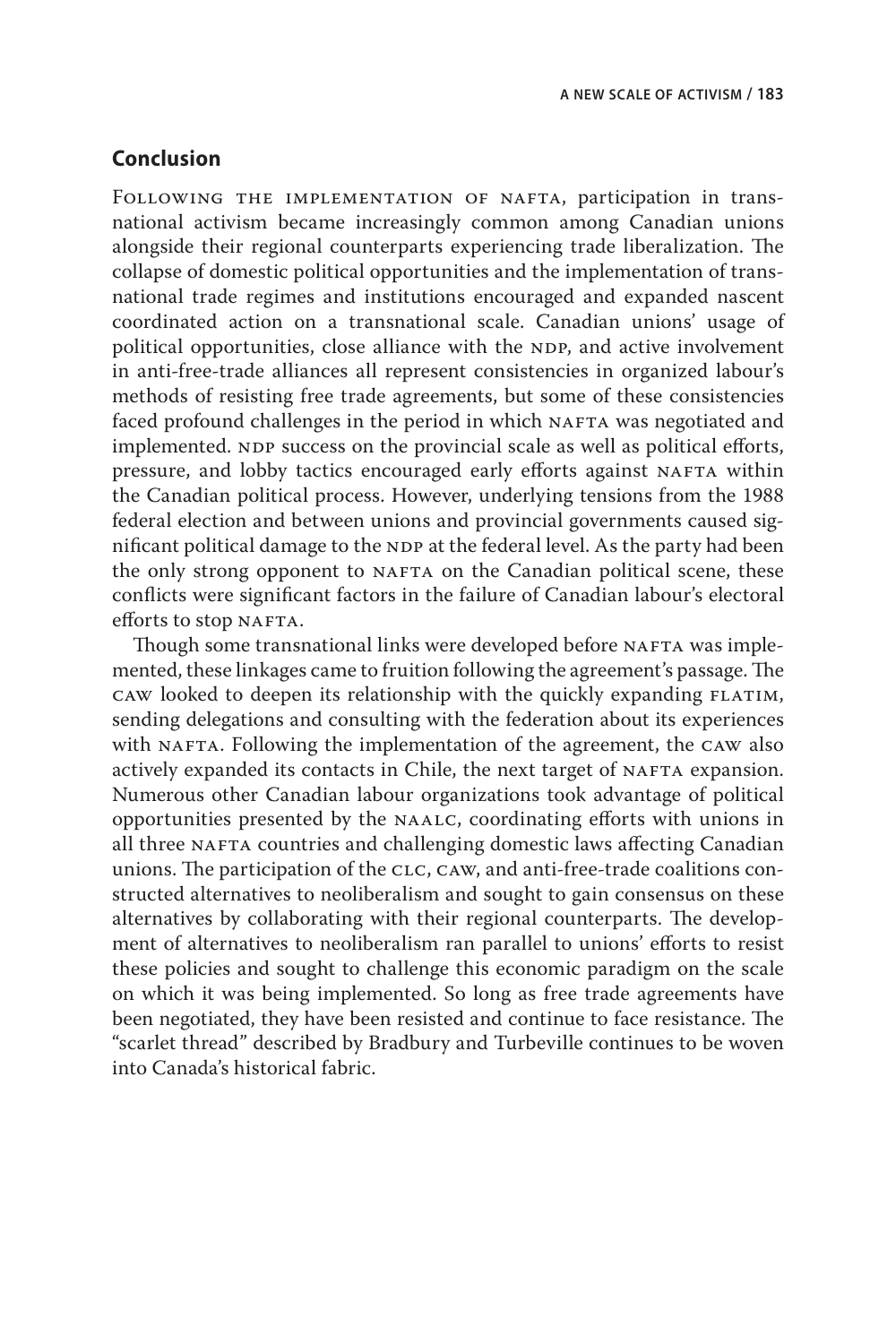# **Conclusion**

FOLLOWING THE IMPLEMENTATION OF NAFTA, participation in transnational activism became increasingly common among Canadian unions alongside their regional counterparts experiencing trade liberalization. The collapse of domestic political opportunities and the implementation of transnational trade regimes and institutions encouraged and expanded nascent coordinated action on a transnational scale. Canadian unions' usage of political opportunities, close alliance with the NDP, and active involvement in anti-free-trade alliances all represent consistencies in organized labour's methods of resisting free trade agreements, but some of these consistencies faced profound challenges in the period in which NAFTA was negotiated and implemented. NDP success on the provincial scale as well as political efforts, pressure, and lobby tactics encouraged early efforts against NAFTA within the Canadian political process. However, underlying tensions from the 1988 federal election and between unions and provincial governments caused significant political damage to the NDP at the federal level. As the party had been the only strong opponent to NAFTA on the Canadian political scene, these conflicts were significant factors in the failure of Canadian labour's electoral efforts to stop NAFTA.

Though some transnational links were developed before NAFTA was implemented, these linkages came to fruition following the agreement's passage. The caw looked to deepen its relationship with the quickly expanding flatim, sending delegations and consulting with the federation about its experiences with NAFTA. Following the implementation of the agreement, the CAW also actively expanded its contacts in Chile, the next target of NAFTA expansion. Numerous other Canadian labour organizations took advantage of political opportunities presented by the naalc, coordinating efforts with unions in all three NAFTA countries and challenging domestic laws affecting Canadian unions. The participation of the CLC, CAW, and anti-free-trade coalitions constructed alternatives to neoliberalism and sought to gain consensus on these alternatives by collaborating with their regional counterparts. The development of alternatives to neoliberalism ran parallel to unions' efforts to resist these policies and sought to challenge this economic paradigm on the scale on which it was being implemented. So long as free trade agreements have been negotiated, they have been resisted and continue to face resistance. The "scarlet thread" described by Bradbury and Turbeville continues to be woven into Canada's historical fabric.